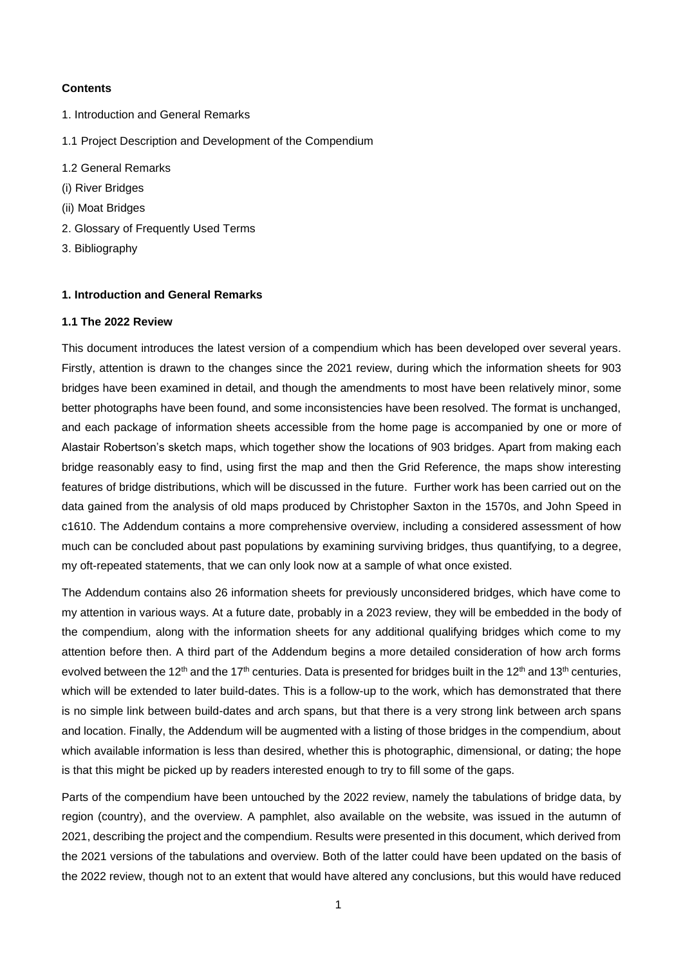### **Contents**

- 1. Introduction and General Remarks
- 1.1 Project Description and Development of the Compendium
- 1.2 General Remarks
- (i) River Bridges
- (ii) Moat Bridges
- 2. Glossary of Frequently Used Terms
- 3. Bibliography

## **1. Introduction and General Remarks**

#### **1.1 The 2022 Review**

This document introduces the latest version of a compendium which has been developed over several years. Firstly, attention is drawn to the changes since the 2021 review, during which the information sheets for 903 bridges have been examined in detail, and though the amendments to most have been relatively minor, some better photographs have been found, and some inconsistencies have been resolved. The format is unchanged, and each package of information sheets accessible from the home page is accompanied by one or more of Alastair Robertson's sketch maps, which together show the locations of 903 bridges. Apart from making each bridge reasonably easy to find, using first the map and then the Grid Reference, the maps show interesting features of bridge distributions, which will be discussed in the future. Further work has been carried out on the data gained from the analysis of old maps produced by Christopher Saxton in the 1570s, and John Speed in c1610. The Addendum contains a more comprehensive overview, including a considered assessment of how much can be concluded about past populations by examining surviving bridges, thus quantifying, to a degree, my oft-repeated statements, that we can only look now at a sample of what once existed.

The Addendum contains also 26 information sheets for previously unconsidered bridges, which have come to my attention in various ways. At a future date, probably in a 2023 review, they will be embedded in the body of the compendium, along with the information sheets for any additional qualifying bridges which come to my attention before then. A third part of the Addendum begins a more detailed consideration of how arch forms evolved between the 12<sup>th</sup> and the 17<sup>th</sup> centuries. Data is presented for bridges built in the 12<sup>th</sup> and 13<sup>th</sup> centuries, which will be extended to later build-dates. This is a follow-up to the work, which has demonstrated that there is no simple link between build-dates and arch spans, but that there is a very strong link between arch spans and location. Finally, the Addendum will be augmented with a listing of those bridges in the compendium, about which available information is less than desired, whether this is photographic, dimensional, or dating; the hope is that this might be picked up by readers interested enough to try to fill some of the gaps.

Parts of the compendium have been untouched by the 2022 review, namely the tabulations of bridge data, by region (country), and the overview. A pamphlet, also available on the website, was issued in the autumn of 2021, describing the project and the compendium. Results were presented in this document, which derived from the 2021 versions of the tabulations and overview. Both of the latter could have been updated on the basis of the 2022 review, though not to an extent that would have altered any conclusions, but this would have reduced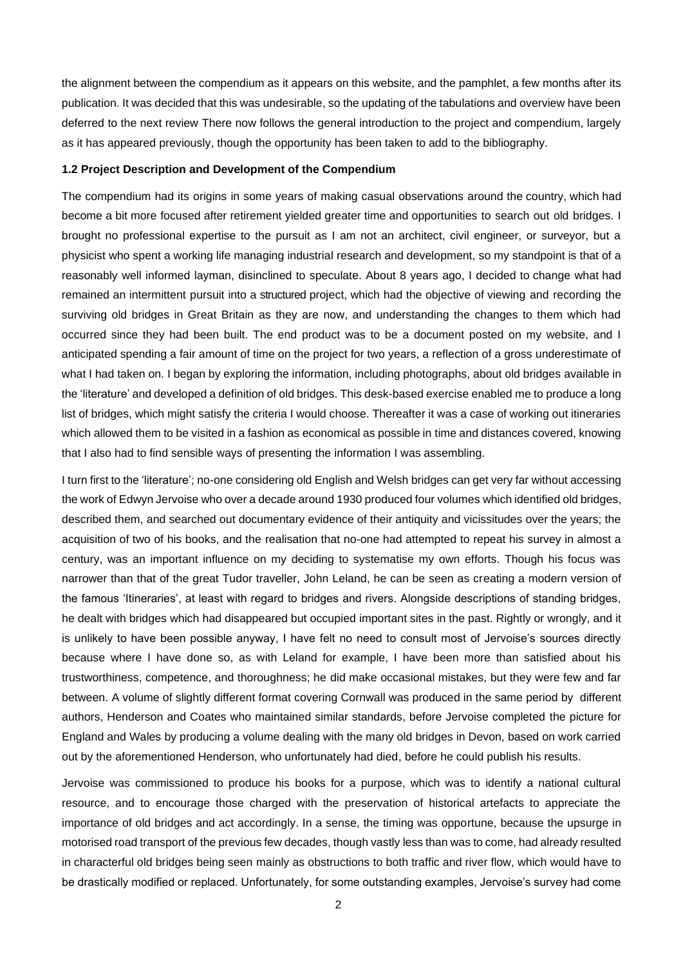the alignment between the compendium as it appears on this website, and the pamphlet, a few months after its publication. It was decided that this was undesirable, so the updating of the tabulations and overview have been deferred to the next review There now follows the general introduction to the project and compendium, largely as it has appeared previously, though the opportunity has been taken to add to the bibliography.

#### **1.2 Project Description and Development of the Compendium**

The compendium had its origins in some years of making casual observations around the country, which had become a bit more focused after retirement yielded greater time and opportunities to search out old bridges. I brought no professional expertise to the pursuit as I am not an architect, civil engineer, or surveyor, but a physicist who spent a working life managing industrial research and development, so my standpoint is that of a reasonably well informed layman, disinclined to speculate. About 8 years ago, I decided to change what had remained an intermittent pursuit into a structured project, which had the objective of viewing and recording the surviving old bridges in Great Britain as they are now, and understanding the changes to them which had occurred since they had been built. The end product was to be a document posted on my website, and I anticipated spending a fair amount of time on the project for two years, a reflection of a gross underestimate of what I had taken on. I began by exploring the information, including photographs, about old bridges available in the 'literature' and developed a definition of old bridges. This desk-based exercise enabled me to produce a long list of bridges, which might satisfy the criteria I would choose. Thereafter it was a case of working out itineraries which allowed them to be visited in a fashion as economical as possible in time and distances covered, knowing that I also had to find sensible ways of presenting the information I was assembling.

I turn first to the 'literature'; no-one considering old English and Welsh bridges can get very far without accessing the work of Edwyn Jervoise who over a decade around 1930 produced four volumes which identified old bridges, described them, and searched out documentary evidence of their antiquity and vicissitudes over the years; the acquisition of two of his books, and the realisation that no-one had attempted to repeat his survey in almost a century, was an important influence on my deciding to systematise my own efforts. Though his focus was narrower than that of the great Tudor traveller, John Leland, he can be seen as creating a modern version of the famous 'Itineraries', at least with regard to bridges and rivers. Alongside descriptions of standing bridges, he dealt with bridges which had disappeared but occupied important sites in the past. Rightly or wrongly, and it is unlikely to have been possible anyway, I have felt no need to consult most of Jervoise's sources directly because where I have done so, as with Leland for example, I have been more than satisfied about his trustworthiness, competence, and thoroughness; he did make occasional mistakes, but they were few and far between. A volume of slightly different format covering Cornwall was produced in the same period by different authors, Henderson and Coates who maintained similar standards, before Jervoise completed the picture for England and Wales by producing a volume dealing with the many old bridges in Devon, based on work carried out by the aforementioned Henderson, who unfortunately had died, before he could publish his results.

Jervoise was commissioned to produce his books for a purpose, which was to identify a national cultural resource, and to encourage those charged with the preservation of historical artefacts to appreciate the importance of old bridges and act accordingly. In a sense, the timing was opportune, because the upsurge in motorised road transport of the previous few decades, though vastly less than was to come, had already resulted in characterful old bridges being seen mainly as obstructions to both traffic and river flow, which would have to be drastically modified or replaced. Unfortunately, for some outstanding examples, Jervoise's survey had come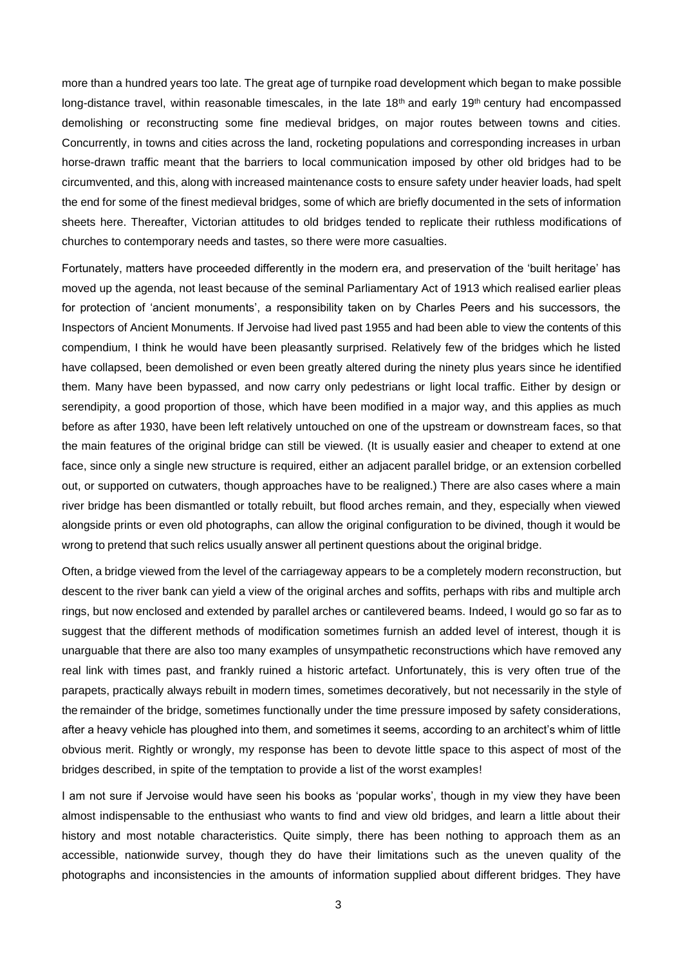more than a hundred years too late. The great age of turnpike road development which began to make possible long-distance travel, within reasonable timescales, in the late 18<sup>th</sup> and early 19<sup>th</sup> century had encompassed demolishing or reconstructing some fine medieval bridges, on major routes between towns and cities. Concurrently, in towns and cities across the land, rocketing populations and corresponding increases in urban horse-drawn traffic meant that the barriers to local communication imposed by other old bridges had to be circumvented, and this, along with increased maintenance costs to ensure safety under heavier loads, had spelt the end for some of the finest medieval bridges, some of which are briefly documented in the sets of information sheets here. Thereafter, Victorian attitudes to old bridges tended to replicate their ruthless modifications of churches to contemporary needs and tastes, so there were more casualties.

Fortunately, matters have proceeded differently in the modern era, and preservation of the 'built heritage' has moved up the agenda, not least because of the seminal Parliamentary Act of 1913 which realised earlier pleas for protection of 'ancient monuments', a responsibility taken on by Charles Peers and his successors, the Inspectors of Ancient Monuments. If Jervoise had lived past 1955 and had been able to view the contents of this compendium, I think he would have been pleasantly surprised. Relatively few of the bridges which he listed have collapsed, been demolished or even been greatly altered during the ninety plus years since he identified them. Many have been bypassed, and now carry only pedestrians or light local traffic. Either by design or serendipity, a good proportion of those, which have been modified in a major way, and this applies as much before as after 1930, have been left relatively untouched on one of the upstream or downstream faces, so that the main features of the original bridge can still be viewed. (It is usually easier and cheaper to extend at one face, since only a single new structure is required, either an adjacent parallel bridge, or an extension corbelled out, or supported on cutwaters, though approaches have to be realigned.) There are also cases where a main river bridge has been dismantled or totally rebuilt, but flood arches remain, and they, especially when viewed alongside prints or even old photographs, can allow the original configuration to be divined, though it would be wrong to pretend that such relics usually answer all pertinent questions about the original bridge.

Often, a bridge viewed from the level of the carriageway appears to be a completely modern reconstruction, but descent to the river bank can yield a view of the original arches and soffits, perhaps with ribs and multiple arch rings, but now enclosed and extended by parallel arches or cantilevered beams. Indeed, I would go so far as to suggest that the different methods of modification sometimes furnish an added level of interest, though it is unarguable that there are also too many examples of unsympathetic reconstructions which have removed any real link with times past, and frankly ruined a historic artefact. Unfortunately, this is very often true of the parapets, practically always rebuilt in modern times, sometimes decoratively, but not necessarily in the style of the remainder of the bridge, sometimes functionally under the time pressure imposed by safety considerations, after a heavy vehicle has ploughed into them, and sometimes it seems, according to an architect's whim of little obvious merit. Rightly or wrongly, my response has been to devote little space to this aspect of most of the bridges described, in spite of the temptation to provide a list of the worst examples!

I am not sure if Jervoise would have seen his books as 'popular works', though in my view they have been almost indispensable to the enthusiast who wants to find and view old bridges, and learn a little about their history and most notable characteristics. Quite simply, there has been nothing to approach them as an accessible, nationwide survey, though they do have their limitations such as the uneven quality of the photographs and inconsistencies in the amounts of information supplied about different bridges. They have

3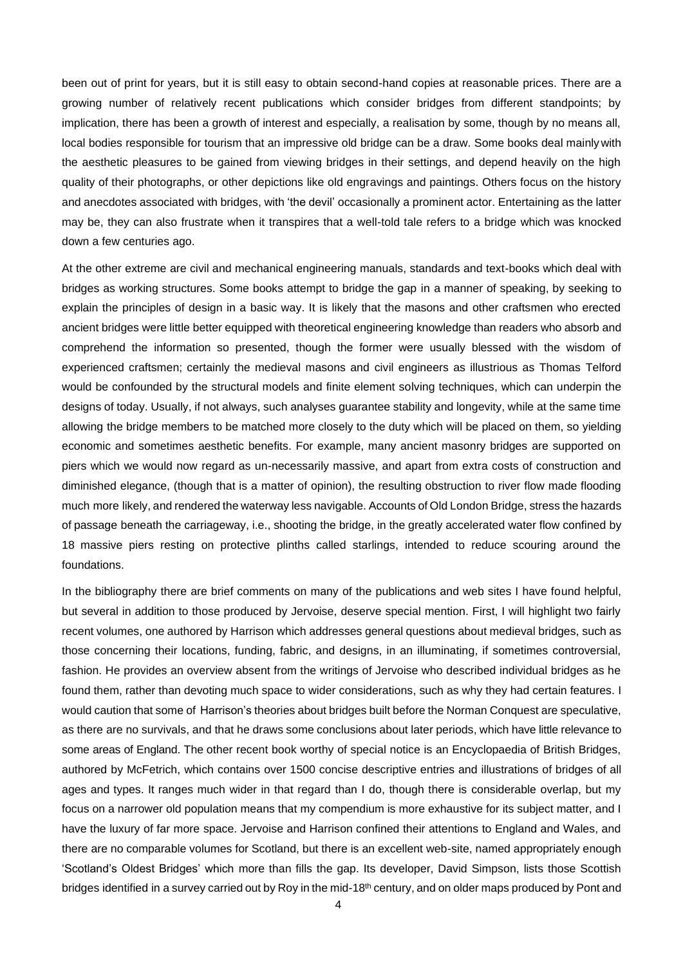been out of print for years, but it is still easy to obtain second-hand copies at reasonable prices. There are a growing number of relatively recent publications which consider bridges from different standpoints; by implication, there has been a growth of interest and especially, a realisation by some, though by no means all, local bodies responsible for tourism that an impressive old bridge can be a draw. Some books deal mainlywith the aesthetic pleasures to be gained from viewing bridges in their settings, and depend heavily on the high quality of their photographs, or other depictions like old engravings and paintings. Others focus on the history and anecdotes associated with bridges, with 'the devil' occasionally a prominent actor. Entertaining as the latter may be, they can also frustrate when it transpires that a well-told tale refers to a bridge which was knocked down a few centuries ago.

At the other extreme are civil and mechanical engineering manuals, standards and text-books which deal with bridges as working structures. Some books attempt to bridge the gap in a manner of speaking, by seeking to explain the principles of design in a basic way. It is likely that the masons and other craftsmen who erected ancient bridges were little better equipped with theoretical engineering knowledge than readers who absorb and comprehend the information so presented, though the former were usually blessed with the wisdom of experienced craftsmen; certainly the medieval masons and civil engineers as illustrious as Thomas Telford would be confounded by the structural models and finite element solving techniques, which can underpin the designs of today. Usually, if not always, such analyses guarantee stability and longevity, while at the same time allowing the bridge members to be matched more closely to the duty which will be placed on them, so yielding economic and sometimes aesthetic benefits. For example, many ancient masonry bridges are supported on piers which we would now regard as un-necessarily massive, and apart from extra costs of construction and diminished elegance, (though that is a matter of opinion), the resulting obstruction to river flow made flooding much more likely, and rendered the waterway less navigable. Accounts of Old London Bridge, stress the hazards of passage beneath the carriageway, i.e., shooting the bridge, in the greatly accelerated water flow confined by 18 massive piers resting on protective plinths called starlings, intended to reduce scouring around the foundations.

In the bibliography there are brief comments on many of the publications and web sites I have found helpful, but several in addition to those produced by Jervoise, deserve special mention. First, I will highlight two fairly recent volumes, one authored by Harrison which addresses general questions about medieval bridges, such as those concerning their locations, funding, fabric, and designs, in an illuminating, if sometimes controversial, fashion. He provides an overview absent from the writings of Jervoise who described individual bridges as he found them, rather than devoting much space to wider considerations, such as why they had certain features. I would caution that some of Harrison's theories about bridges built before the Norman Conquest are speculative, as there are no survivals, and that he draws some conclusions about later periods, which have little relevance to some areas of England. The other recent book worthy of special notice is an Encyclopaedia of British Bridges, authored by McFetrich, which contains over 1500 concise descriptive entries and illustrations of bridges of all ages and types. It ranges much wider in that regard than I do, though there is considerable overlap, but my focus on a narrower old population means that my compendium is more exhaustive for its subject matter, and I have the luxury of far more space. Jervoise and Harrison confined their attentions to England and Wales, and there are no comparable volumes for Scotland, but there is an excellent web-site, named appropriately enough 'Scotland's Oldest Bridges' which more than fills the gap. Its developer, David Simpson, lists those Scottish bridges identified in a survey carried out by Roy in the mid-18<sup>th</sup> century, and on older maps produced by Pont and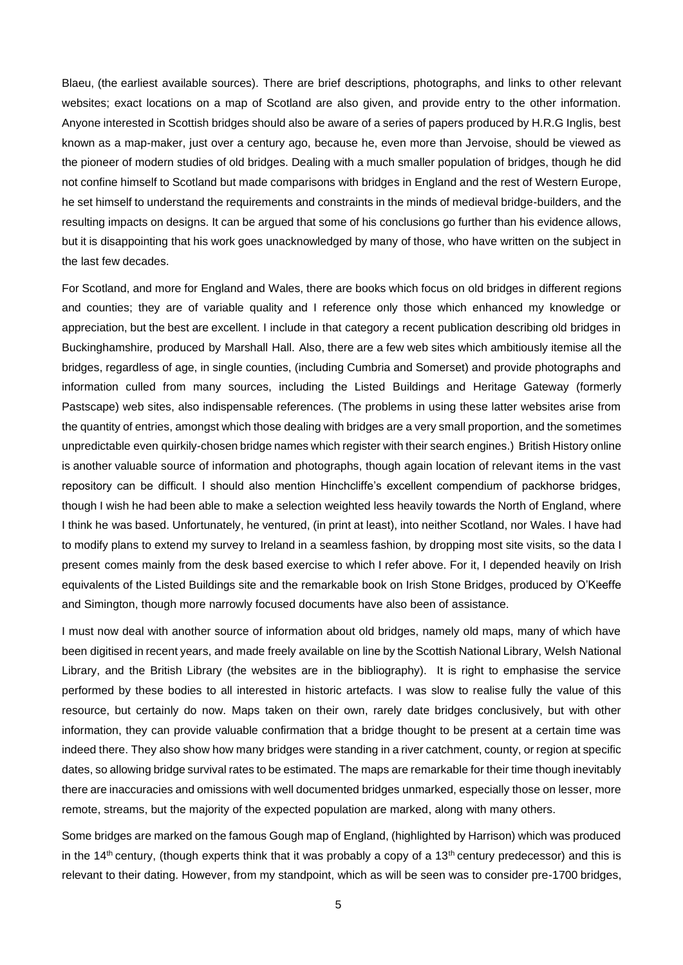Blaeu, (the earliest available sources). There are brief descriptions, photographs, and links to other relevant websites; exact locations on a map of Scotland are also given, and provide entry to the other information. Anyone interested in Scottish bridges should also be aware of a series of papers produced by H.R.G Inglis, best known as a map-maker, just over a century ago, because he, even more than Jervoise, should be viewed as the pioneer of modern studies of old bridges. Dealing with a much smaller population of bridges, though he did not confine himself to Scotland but made comparisons with bridges in England and the rest of Western Europe, he set himself to understand the requirements and constraints in the minds of medieval bridge-builders, and the resulting impacts on designs. It can be argued that some of his conclusions go further than his evidence allows, but it is disappointing that his work goes unacknowledged by many of those, who have written on the subject in the last few decades.

For Scotland, and more for England and Wales, there are books which focus on old bridges in different regions and counties; they are of variable quality and I reference only those which enhanced my knowledge or appreciation, but the best are excellent. I include in that category a recent publication describing old bridges in Buckinghamshire, produced by Marshall Hall. Also, there are a few web sites which ambitiously itemise all the bridges, regardless of age, in single counties, (including Cumbria and Somerset) and provide photographs and information culled from many sources, including the Listed Buildings and Heritage Gateway (formerly Pastscape) web sites, also indispensable references. (The problems in using these latter websites arise from the quantity of entries, amongst which those dealing with bridges are a very small proportion, and the sometimes unpredictable even quirkily-chosen bridge names which register with their search engines.) British History online is another valuable source of information and photographs, though again location of relevant items in the vast repository can be difficult. I should also mention Hinchcliffe's excellent compendium of packhorse bridges, though I wish he had been able to make a selection weighted less heavily towards the North of England, where I think he was based. Unfortunately, he ventured, (in print at least), into neither Scotland, nor Wales. I have had to modify plans to extend my survey to Ireland in a seamless fashion, by dropping most site visits, so the data I present comes mainly from the desk based exercise to which I refer above. For it, I depended heavily on Irish equivalents of the Listed Buildings site and the remarkable book on Irish Stone Bridges, produced by O'Keeffe and Simington, though more narrowly focused documents have also been of assistance.

I must now deal with another source of information about old bridges, namely old maps, many of which have been digitised in recent years, and made freely available on line by the Scottish National Library, Welsh National Library, and the British Library (the websites are in the bibliography). It is right to emphasise the service performed by these bodies to all interested in historic artefacts. I was slow to realise fully the value of this resource, but certainly do now. Maps taken on their own, rarely date bridges conclusively, but with other information, they can provide valuable confirmation that a bridge thought to be present at a certain time was indeed there. They also show how many bridges were standing in a river catchment, county, or region at specific dates, so allowing bridge survival rates to be estimated. The maps are remarkable for their time though inevitably there are inaccuracies and omissions with well documented bridges unmarked, especially those on lesser, more remote, streams, but the majority of the expected population are marked, along with many others.

Some bridges are marked on the famous Gough map of England, (highlighted by Harrison) which was produced in the 14<sup>th</sup> century, (though experts think that it was probably a copy of a 13<sup>th</sup> century predecessor) and this is relevant to their dating. However, from my standpoint, which as will be seen was to consider pre-1700 bridges,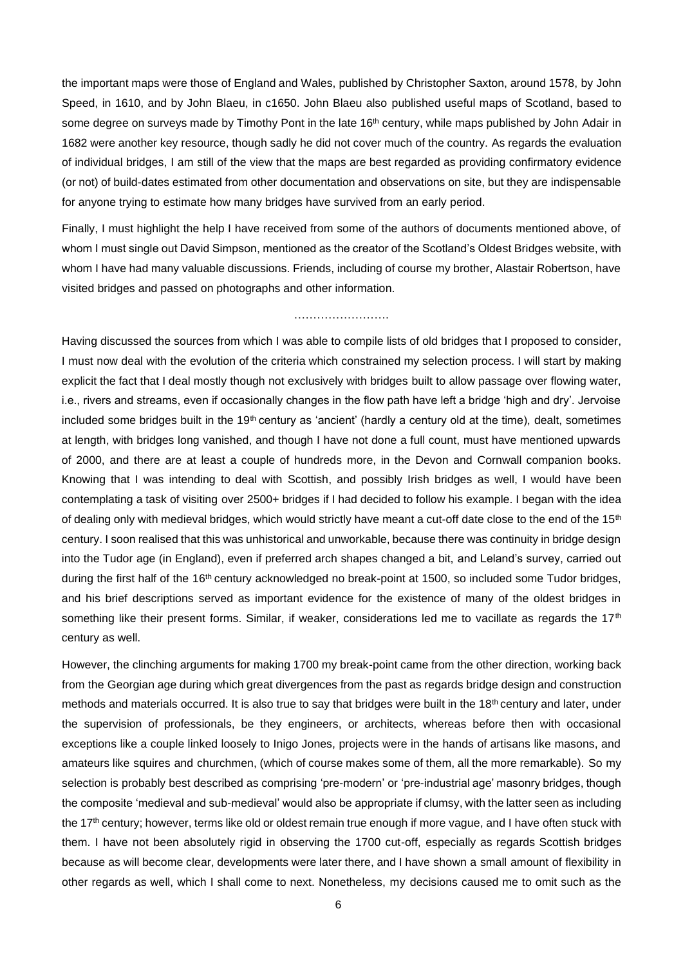the important maps were those of England and Wales, published by Christopher Saxton, around 1578, by John Speed, in 1610, and by John Blaeu, in c1650. John Blaeu also published useful maps of Scotland, based to some degree on surveys made by Timothy Pont in the late 16<sup>th</sup> century, while maps published by John Adair in 1682 were another key resource, though sadly he did not cover much of the country. As regards the evaluation of individual bridges, I am still of the view that the maps are best regarded as providing confirmatory evidence (or not) of build-dates estimated from other documentation and observations on site, but they are indispensable for anyone trying to estimate how many bridges have survived from an early period.

Finally, I must highlight the help I have received from some of the authors of documents mentioned above, of whom I must single out David Simpson, mentioned as the creator of the Scotland's Oldest Bridges website, with whom I have had many valuable discussions. Friends, including of course my brother, Alastair Robertson, have visited bridges and passed on photographs and other information.

#### ……………………………

Having discussed the sources from which I was able to compile lists of old bridges that I proposed to consider, I must now deal with the evolution of the criteria which constrained my selection process. I will start by making explicit the fact that I deal mostly though not exclusively with bridges built to allow passage over flowing water, i.e., rivers and streams, even if occasionally changes in the flow path have left a bridge 'high and dry'. Jervoise included some bridges built in the 19<sup>th</sup> century as 'ancient' (hardly a century old at the time), dealt, sometimes at length, with bridges long vanished, and though I have not done a full count, must have mentioned upwards of 2000, and there are at least a couple of hundreds more, in the Devon and Cornwall companion books. Knowing that I was intending to deal with Scottish, and possibly Irish bridges as well, I would have been contemplating a task of visiting over 2500+ bridges if I had decided to follow his example. I began with the idea of dealing only with medieval bridges, which would strictly have meant a cut-off date close to the end of the 15<sup>th</sup> century. I soon realised that this was unhistorical and unworkable, because there was continuity in bridge design into the Tudor age (in England), even if preferred arch shapes changed a bit, and Leland's survey, carried out during the first half of the 16th century acknowledged no break-point at 1500, so included some Tudor bridges, and his brief descriptions served as important evidence for the existence of many of the oldest bridges in something like their present forms. Similar, if weaker, considerations led me to vacillate as regards the 17<sup>th</sup> century as well.

However, the clinching arguments for making 1700 my break-point came from the other direction, working back from the Georgian age during which great divergences from the past as regards bridge design and construction methods and materials occurred. It is also true to say that bridges were built in the 18<sup>th</sup> century and later, under the supervision of professionals, be they engineers, or architects, whereas before then with occasional exceptions like a couple linked loosely to Inigo Jones, projects were in the hands of artisans like masons, and amateurs like squires and churchmen, (which of course makes some of them, all the more remarkable). So my selection is probably best described as comprising 'pre-modern' or 'pre-industrial age' masonry bridges, though the composite 'medieval and sub-medieval' would also be appropriate if clumsy, with the latter seen as including the 17<sup>th</sup> century; however, terms like old or oldest remain true enough if more vague, and I have often stuck with them. I have not been absolutely rigid in observing the 1700 cut-off, especially as regards Scottish bridges because as will become clear, developments were later there, and I have shown a small amount of flexibility in other regards as well, which I shall come to next. Nonetheless, my decisions caused me to omit such as the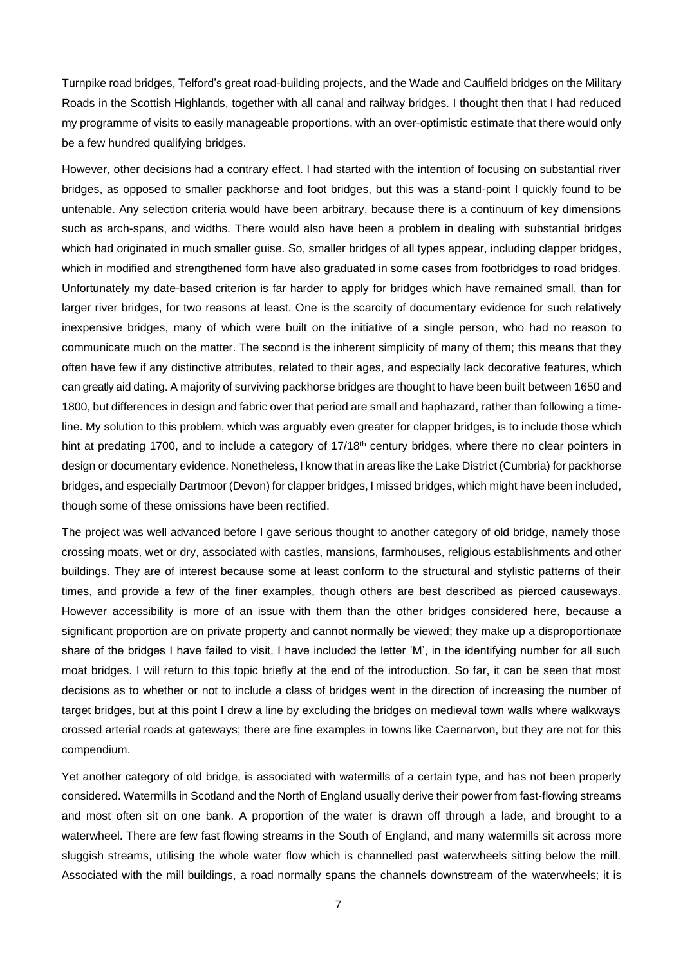Turnpike road bridges, Telford's great road-building projects, and the Wade and Caulfield bridges on the Military Roads in the Scottish Highlands, together with all canal and railway bridges. I thought then that I had reduced my programme of visits to easily manageable proportions, with an over-optimistic estimate that there would only be a few hundred qualifying bridges.

However, other decisions had a contrary effect. I had started with the intention of focusing on substantial river bridges, as opposed to smaller packhorse and foot bridges, but this was a stand-point I quickly found to be untenable. Any selection criteria would have been arbitrary, because there is a continuum of key dimensions such as arch-spans, and widths. There would also have been a problem in dealing with substantial bridges which had originated in much smaller guise. So, smaller bridges of all types appear, including clapper bridges, which in modified and strengthened form have also graduated in some cases from footbridges to road bridges. Unfortunately my date-based criterion is far harder to apply for bridges which have remained small, than for larger river bridges, for two reasons at least. One is the scarcity of documentary evidence for such relatively inexpensive bridges, many of which were built on the initiative of a single person, who had no reason to communicate much on the matter. The second is the inherent simplicity of many of them; this means that they often have few if any distinctive attributes, related to their ages, and especially lack decorative features, which can greatly aid dating. A majority of surviving packhorse bridges are thought to have been built between 1650 and 1800, but differences in design and fabric over that period are small and haphazard, rather than following a timeline. My solution to this problem, which was arguably even greater for clapper bridges, is to include those which hint at predating 1700, and to include a category of 17/18<sup>th</sup> century bridges, where there no clear pointers in design or documentary evidence. Nonetheless, I know that in areas like the Lake District (Cumbria) for packhorse bridges, and especially Dartmoor (Devon) for clapper bridges, I missed bridges, which might have been included, though some of these omissions have been rectified.

The project was well advanced before I gave serious thought to another category of old bridge, namely those crossing moats, wet or dry, associated with castles, mansions, farmhouses, religious establishments and other buildings. They are of interest because some at least conform to the structural and stylistic patterns of their times, and provide a few of the finer examples, though others are best described as pierced causeways. However accessibility is more of an issue with them than the other bridges considered here, because a significant proportion are on private property and cannot normally be viewed; they make up a disproportionate share of the bridges I have failed to visit. I have included the letter 'M', in the identifying number for all such moat bridges. I will return to this topic briefly at the end of the introduction. So far, it can be seen that most decisions as to whether or not to include a class of bridges went in the direction of increasing the number of target bridges, but at this point I drew a line by excluding the bridges on medieval town walls where walkways crossed arterial roads at gateways; there are fine examples in towns like Caernarvon, but they are not for this compendium.

Yet another category of old bridge, is associated with watermills of a certain type, and has not been properly considered. Watermills in Scotland and the North of England usually derive their power from fast-flowing streams and most often sit on one bank. A proportion of the water is drawn off through a lade, and brought to a waterwheel. There are few fast flowing streams in the South of England, and many watermills sit across more sluggish streams, utilising the whole water flow which is channelled past waterwheels sitting below the mill. Associated with the mill buildings, a road normally spans the channels downstream of the waterwheels; it is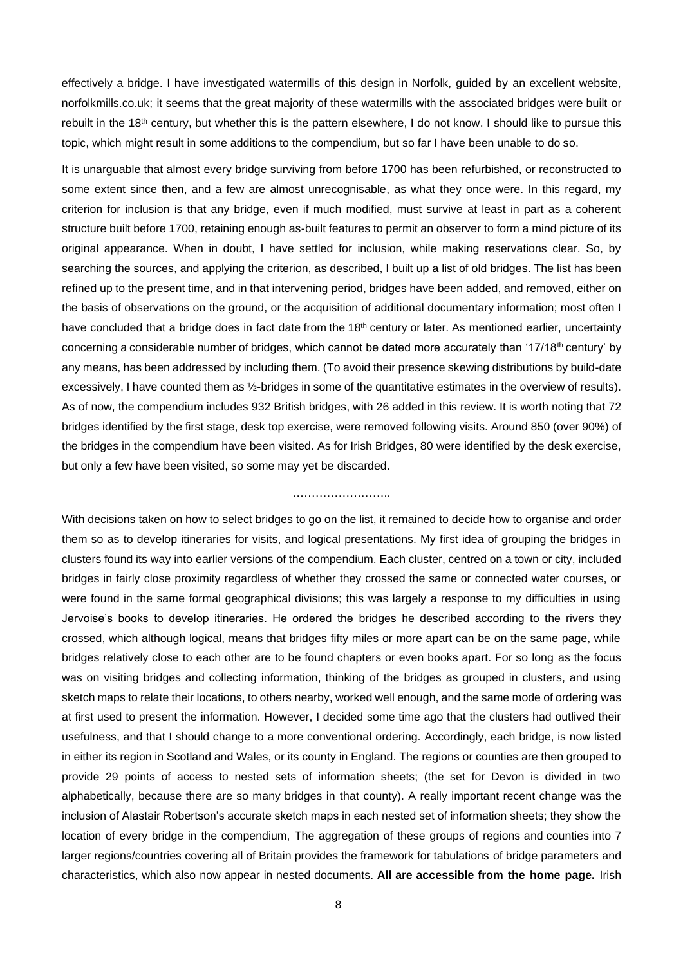effectively a bridge. I have investigated watermills of this design in Norfolk, guided by an excellent website, norfolkmills.co.uk; it seems that the great majority of these watermills with the associated bridges were built or rebuilt in the 18th century, but whether this is the pattern elsewhere, I do not know. I should like to pursue this topic, which might result in some additions to the compendium, but so far I have been unable to do so.

It is unarguable that almost every bridge surviving from before 1700 has been refurbished, or reconstructed to some extent since then, and a few are almost unrecognisable, as what they once were. In this regard, my criterion for inclusion is that any bridge, even if much modified, must survive at least in part as a coherent structure built before 1700, retaining enough as-built features to permit an observer to form a mind picture of its original appearance. When in doubt, I have settled for inclusion, while making reservations clear. So, by searching the sources, and applying the criterion, as described, I built up a list of old bridges. The list has been refined up to the present time, and in that intervening period, bridges have been added, and removed, either on the basis of observations on the ground, or the acquisition of additional documentary information; most often I have concluded that a bridge does in fact date from the 18<sup>th</sup> century or later. As mentioned earlier, uncertainty concerning a considerable number of bridges, which cannot be dated more accurately than '17/18<sup>th</sup> century' by any means, has been addressed by including them. (To avoid their presence skewing distributions by build-date excessively, I have counted them as ½-bridges in some of the quantitative estimates in the overview of results). As of now, the compendium includes 932 British bridges, with 26 added in this review. It is worth noting that 72 bridges identified by the first stage, desk top exercise, were removed following visits. Around 850 (over 90%) of the bridges in the compendium have been visited. As for Irish Bridges, 80 were identified by the desk exercise, but only a few have been visited, so some may yet be discarded.

#### ……………………..

With decisions taken on how to select bridges to go on the list, it remained to decide how to organise and order them so as to develop itineraries for visits, and logical presentations. My first idea of grouping the bridges in clusters found its way into earlier versions of the compendium. Each cluster, centred on a town or city, included bridges in fairly close proximity regardless of whether they crossed the same or connected water courses, or were found in the same formal geographical divisions; this was largely a response to my difficulties in using Jervoise's books to develop itineraries. He ordered the bridges he described according to the rivers they crossed, which although logical, means that bridges fifty miles or more apart can be on the same page, while bridges relatively close to each other are to be found chapters or even books apart. For so long as the focus was on visiting bridges and collecting information, thinking of the bridges as grouped in clusters, and using sketch maps to relate their locations, to others nearby, worked well enough, and the same mode of ordering was at first used to present the information. However, I decided some time ago that the clusters had outlived their usefulness, and that I should change to a more conventional ordering. Accordingly, each bridge, is now listed in either its region in Scotland and Wales, or its county in England. The regions or counties are then grouped to provide 29 points of access to nested sets of information sheets; (the set for Devon is divided in two alphabetically, because there are so many bridges in that county). A really important recent change was the inclusion of Alastair Robertson's accurate sketch maps in each nested set of information sheets; they show the location of every bridge in the compendium, The aggregation of these groups of regions and counties into 7 larger regions/countries covering all of Britain provides the framework for tabulations of bridge parameters and characteristics, which also now appear in nested documents. **All are accessible from the home page.** Irish

8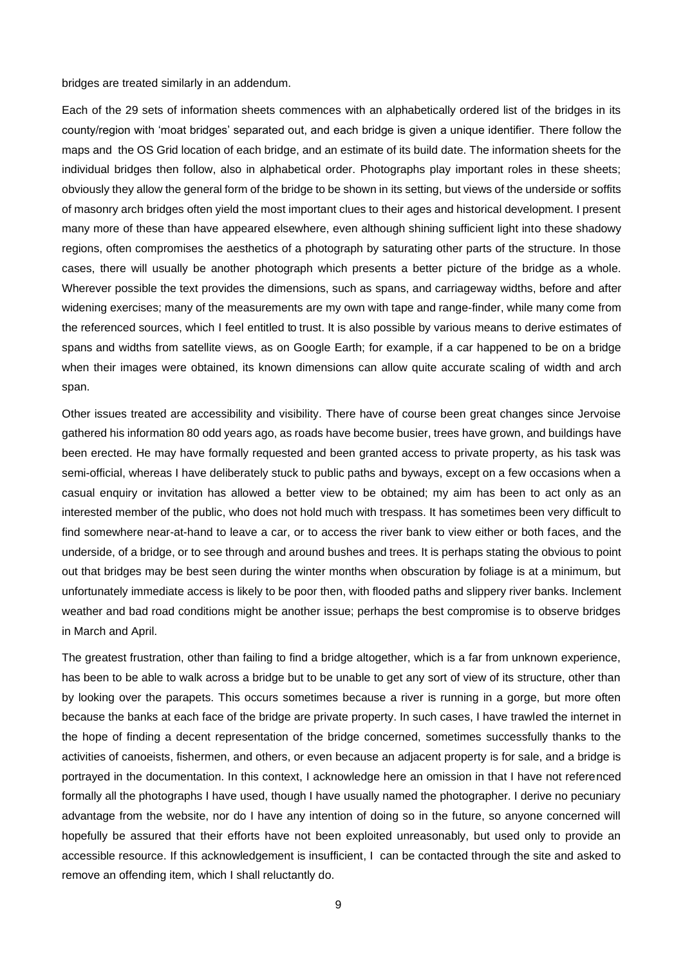bridges are treated similarly in an addendum.

Each of the 29 sets of information sheets commences with an alphabetically ordered list of the bridges in its county/region with 'moat bridges' separated out, and each bridge is given a unique identifier. There follow the maps and the OS Grid location of each bridge, and an estimate of its build date. The information sheets for the individual bridges then follow, also in alphabetical order. Photographs play important roles in these sheets; obviously they allow the general form of the bridge to be shown in its setting, but views of the underside or soffits of masonry arch bridges often yield the most important clues to their ages and historical development. I present many more of these than have appeared elsewhere, even although shining sufficient light into these shadowy regions, often compromises the aesthetics of a photograph by saturating other parts of the structure. In those cases, there will usually be another photograph which presents a better picture of the bridge as a whole. Wherever possible the text provides the dimensions, such as spans, and carriageway widths, before and after widening exercises; many of the measurements are my own with tape and range-finder, while many come from the referenced sources, which I feel entitled to trust. It is also possible by various means to derive estimates of spans and widths from satellite views, as on Google Earth; for example, if a car happened to be on a bridge when their images were obtained, its known dimensions can allow quite accurate scaling of width and arch span.

Other issues treated are accessibility and visibility. There have of course been great changes since Jervoise gathered his information 80 odd years ago, as roads have become busier, trees have grown, and buildings have been erected. He may have formally requested and been granted access to private property, as his task was semi-official, whereas I have deliberately stuck to public paths and byways, except on a few occasions when a casual enquiry or invitation has allowed a better view to be obtained; my aim has been to act only as an interested member of the public, who does not hold much with trespass. It has sometimes been very difficult to find somewhere near-at-hand to leave a car, or to access the river bank to view either or both faces, and the underside, of a bridge, or to see through and around bushes and trees. It is perhaps stating the obvious to point out that bridges may be best seen during the winter months when obscuration by foliage is at a minimum, but unfortunately immediate access is likely to be poor then, with flooded paths and slippery river banks. Inclement weather and bad road conditions might be another issue; perhaps the best compromise is to observe bridges in March and April.

The greatest frustration, other than failing to find a bridge altogether, which is a far from unknown experience, has been to be able to walk across a bridge but to be unable to get any sort of view of its structure, other than by looking over the parapets. This occurs sometimes because a river is running in a gorge, but more often because the banks at each face of the bridge are private property. In such cases, I have trawled the internet in the hope of finding a decent representation of the bridge concerned, sometimes successfully thanks to the activities of canoeists, fishermen, and others, or even because an adjacent property is for sale, and a bridge is portrayed in the documentation. In this context, I acknowledge here an omission in that I have not referenced formally all the photographs I have used, though I have usually named the photographer. I derive no pecuniary advantage from the website, nor do I have any intention of doing so in the future, so anyone concerned will hopefully be assured that their efforts have not been exploited unreasonably, but used only to provide an accessible resource. If this acknowledgement is insufficient, I can be contacted through the site and asked to remove an offending item, which I shall reluctantly do.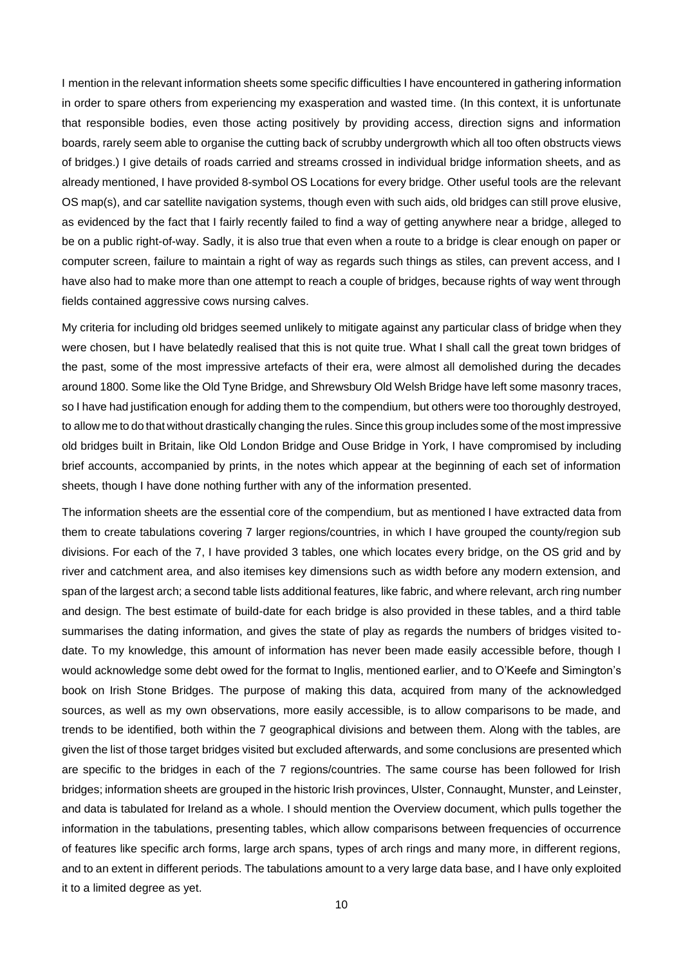I mention in the relevant information sheets some specific difficulties I have encountered in gathering information in order to spare others from experiencing my exasperation and wasted time. (In this context, it is unfortunate that responsible bodies, even those acting positively by providing access, direction signs and information boards, rarely seem able to organise the cutting back of scrubby undergrowth which all too often obstructs views of bridges.) I give details of roads carried and streams crossed in individual bridge information sheets, and as already mentioned, I have provided 8-symbol OS Locations for every bridge. Other useful tools are the relevant OS map(s), and car satellite navigation systems, though even with such aids, old bridges can still prove elusive, as evidenced by the fact that I fairly recently failed to find a way of getting anywhere near a bridge, alleged to be on a public right-of-way. Sadly, it is also true that even when a route to a bridge is clear enough on paper or computer screen, failure to maintain a right of way as regards such things as stiles, can prevent access, and I have also had to make more than one attempt to reach a couple of bridges, because rights of way went through fields contained aggressive cows nursing calves.

My criteria for including old bridges seemed unlikely to mitigate against any particular class of bridge when they were chosen, but I have belatedly realised that this is not quite true. What I shall call the great town bridges of the past, some of the most impressive artefacts of their era, were almost all demolished during the decades around 1800. Some like the Old Tyne Bridge, and Shrewsbury Old Welsh Bridge have left some masonry traces, so I have had justification enough for adding them to the compendium, but others were too thoroughly destroyed, to allow me to do that without drastically changing the rules. Since this group includes some of the most impressive old bridges built in Britain, like Old London Bridge and Ouse Bridge in York, I have compromised by including brief accounts, accompanied by prints, in the notes which appear at the beginning of each set of information sheets, though I have done nothing further with any of the information presented.

The information sheets are the essential core of the compendium, but as mentioned I have extracted data from them to create tabulations covering 7 larger regions/countries, in which I have grouped the county/region sub divisions. For each of the 7, I have provided 3 tables, one which locates every bridge, on the OS grid and by river and catchment area, and also itemises key dimensions such as width before any modern extension, and span of the largest arch; a second table lists additional features, like fabric, and where relevant, arch ring number and design. The best estimate of build-date for each bridge is also provided in these tables, and a third table summarises the dating information, and gives the state of play as regards the numbers of bridges visited todate. To my knowledge, this amount of information has never been made easily accessible before, though I would acknowledge some debt owed for the format to Inglis, mentioned earlier, and to O'Keefe and Simington's book on Irish Stone Bridges. The purpose of making this data, acquired from many of the acknowledged sources, as well as my own observations, more easily accessible, is to allow comparisons to be made, and trends to be identified, both within the 7 geographical divisions and between them. Along with the tables, are given the list of those target bridges visited but excluded afterwards, and some conclusions are presented which are specific to the bridges in each of the 7 regions/countries. The same course has been followed for Irish bridges; information sheets are grouped in the historic Irish provinces, Ulster, Connaught, Munster, and Leinster, and data is tabulated for Ireland as a whole. I should mention the Overview document, which pulls together the information in the tabulations, presenting tables, which allow comparisons between frequencies of occurrence of features like specific arch forms, large arch spans, types of arch rings and many more, in different regions, and to an extent in different periods. The tabulations amount to a very large data base, and I have only exploited it to a limited degree as yet.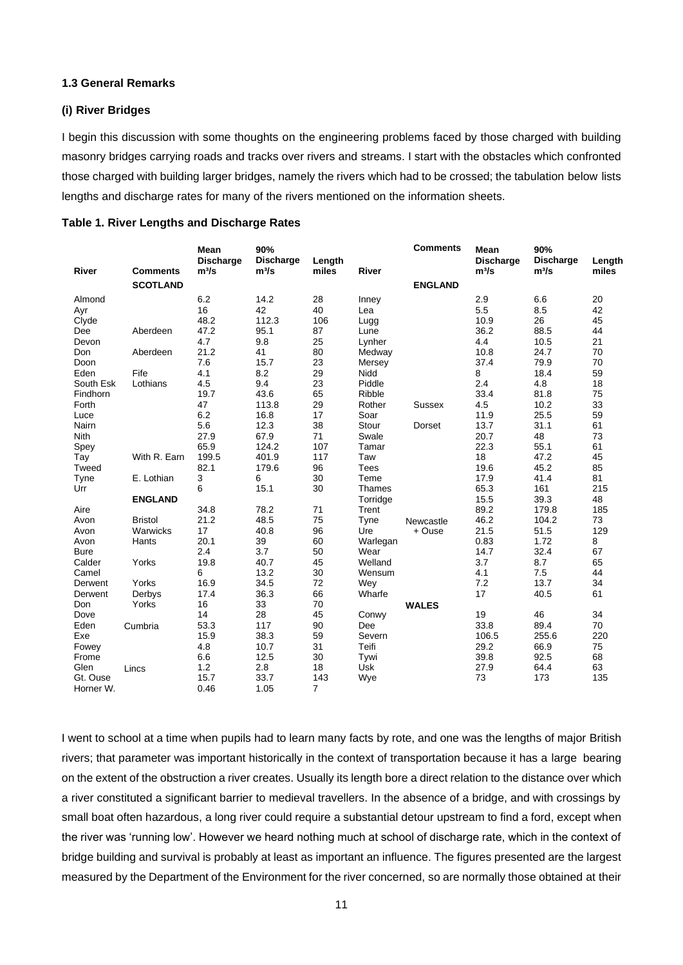### **1.3 General Remarks**

#### **(i) River Bridges**

I begin this discussion with some thoughts on the engineering problems faced by those charged with building masonry bridges carrying roads and tracks over rivers and streams. I start with the obstacles which confronted those charged with building larger bridges, namely the rivers which had to be crossed; the tabulation below lists lengths and discharge rates for many of the rivers mentioned on the information sheets.

| <b>River</b> | <b>Comments</b> | Mean<br><b>Discharge</b><br>m <sup>3</sup> /s | 90%<br><b>Discharge</b><br>m <sup>3</sup> /s | Length<br>miles | <b>River</b> | <b>Comments</b> | Mean<br><b>Discharge</b><br>$m^3/s$ | 90%<br><b>Discharge</b><br>m <sup>3</sup> /s | Length<br>miles |
|--------------|-----------------|-----------------------------------------------|----------------------------------------------|-----------------|--------------|-----------------|-------------------------------------|----------------------------------------------|-----------------|
|              | <b>SCOTLAND</b> |                                               |                                              |                 |              | <b>ENGLAND</b>  |                                     |                                              |                 |
| Almond       |                 | 6.2                                           | 14.2                                         | 28              | Inney        |                 | 2.9                                 | 6.6                                          | 20              |
| Ayr          |                 | 16                                            | 42                                           | 40              | Lea          |                 | 5.5                                 | 8.5                                          | 42              |
| Clyde        |                 | 48.2                                          | 112.3                                        | 106             | Lugg         |                 | 10.9                                | 26                                           | 45              |
| Dee          | Aberdeen        | 47.2                                          | 95.1                                         | 87              | Lune         |                 | 36.2                                | 88.5                                         | 44              |
| Devon        |                 | 4.7                                           | 9.8                                          | 25              | Lynher       |                 | 4.4                                 | 10.5                                         | 21              |
| Don          | Aberdeen        | 21.2                                          | 41                                           | 80              | Medway       |                 | 10.8                                | 24.7                                         | 70              |
| Doon         |                 | 7.6                                           | 15.7                                         | 23              | Mersey       |                 | 37.4                                | 79.9                                         | 70              |
| Eden         | Fife            | 4.1                                           | 8.2                                          | 29              | Nidd         |                 | 8                                   | 18.4                                         | 59              |
| South Esk    | Lothians        | 4.5                                           | 9.4                                          | 23              | Piddle       |                 | 2.4                                 | 4.8                                          | 18              |
| Findhorn     |                 | 19.7                                          | 43.6                                         | 65              | Ribble       |                 | 33.4                                | 81.8                                         | 75              |
| Forth        |                 | 47                                            | 113.8                                        | 29              | Rother       | <b>Sussex</b>   | 4.5                                 | 10.2                                         | 33              |
| Luce         |                 | 6.2                                           | 16.8                                         | 17              | Soar         |                 | 11.9                                | 25.5                                         | 59              |
| Nairn        |                 | 5.6                                           | 12.3                                         | 38              | Stour        | Dorset          | 13.7                                | 31.1                                         | 61              |
| <b>Nith</b>  |                 | 27.9                                          | 67.9                                         | 71              | Swale        |                 | 20.7                                | 48                                           | 73              |
| Spey         |                 | 65.9                                          | 124.2                                        | 107             | Tamar        |                 | 22.3                                | 55.1                                         | 61              |
| Tay          | With R. Earn    | 199.5                                         | 401.9                                        | 117             | Taw          |                 | 18                                  | 47.2                                         | 45              |
| Tweed        |                 | 82.1                                          | 179.6                                        | 96              | <b>Tees</b>  |                 | 19.6                                | 45.2                                         | 85              |
| Tyne         | E. Lothian      | 3                                             | 6                                            | 30              | Teme         |                 | 17.9                                | 41.4                                         | 81              |
| Urr          |                 | 6                                             | 15.1                                         | 30              | Thames       |                 | 65.3                                | 161                                          | 215             |
|              | <b>ENGLAND</b>  |                                               |                                              |                 | Torridge     |                 | 15.5                                | 39.3                                         | 48              |
| Aire         |                 | 34.8                                          | 78.2                                         | 71              | Trent        |                 | 89.2                                | 179.8                                        | 185             |
| Avon         | <b>Bristol</b>  | 21.2                                          | 48.5                                         | 75              | Tyne         | Newcastle       | 46.2                                | 104.2                                        | 73              |
| Avon         | Warwicks        | 17                                            | 40.8                                         | 96              | Ure          | + Ouse          | 21.5                                | 51.5                                         | 129             |
| Avon         | Hants           | 20.1                                          | 39                                           | 60              | Warlegan     |                 | 0.83                                | 1.72                                         | 8               |
| <b>Bure</b>  |                 | 2.4                                           | 3.7                                          | 50              | Wear         |                 | 14.7                                | 32.4                                         | 67              |
| Calder       | Yorks           | 19.8                                          | 40.7                                         | 45              | Welland      |                 | 3.7                                 | 8.7                                          | 65              |
| Camel        |                 | 6                                             | 13.2                                         | 30              | Wensum       |                 | 4.1                                 | 7.5                                          | 44              |
| Derwent      | Yorks           | 16.9                                          | 34.5                                         | 72              | Wey          |                 | 7.2                                 | 13.7                                         | 34              |
| Derwent      | Derbys          | 17.4                                          | 36.3                                         | 66              | Wharfe       |                 | 17                                  | 40.5                                         | 61              |
| Don          | Yorks           | 16                                            | 33                                           | 70              |              | <b>WALES</b>    |                                     |                                              |                 |
| Dove         |                 | 14                                            | 28                                           | 45              | Conwy        |                 | 19                                  | 46                                           | 34              |
| Eden         | Cumbria         | 53.3                                          | 117                                          | 90              | Dee          |                 | 33.8                                | 89.4                                         | 70              |
| Exe          |                 | 15.9                                          | 38.3                                         | 59              | Severn       |                 | 106.5                               | 255.6                                        | 220             |
| Fowey        |                 | 4.8                                           | 10.7                                         | 31              | Teifi        |                 | 29.2                                | 66.9                                         | 75              |
| Frome        |                 | 6.6                                           | 12.5                                         | 30              | Tywi         |                 | 39.8                                | 92.5                                         | 68              |
| Glen         | Lincs           | 1.2                                           | 2.8                                          | 18              | Usk          |                 | 27.9                                | 64.4                                         | 63              |
| Gt. Ouse     |                 | 15.7                                          | 33.7                                         | 143             | Wye          |                 | 73                                  | 173                                          | 135             |
| Horner W.    |                 | 0.46                                          | 1.05                                         | $\overline{7}$  |              |                 |                                     |                                              |                 |

I went to school at a time when pupils had to learn many facts by rote, and one was the lengths of major British rivers; that parameter was important historically in the context of transportation because it has a large bearing on the extent of the obstruction a river creates. Usually its length bore a direct relation to the distance over which a river constituted a significant barrier to medieval travellers. In the absence of a bridge, and with crossings by small boat often hazardous, a long river could require a substantial detour upstream to find a ford, except when the river was 'running low'. However we heard nothing much at school of discharge rate, which in the context of bridge building and survival is probably at least as important an influence. The figures presented are the largest measured by the Department of the Environment for the river concerned, so are normally those obtained at their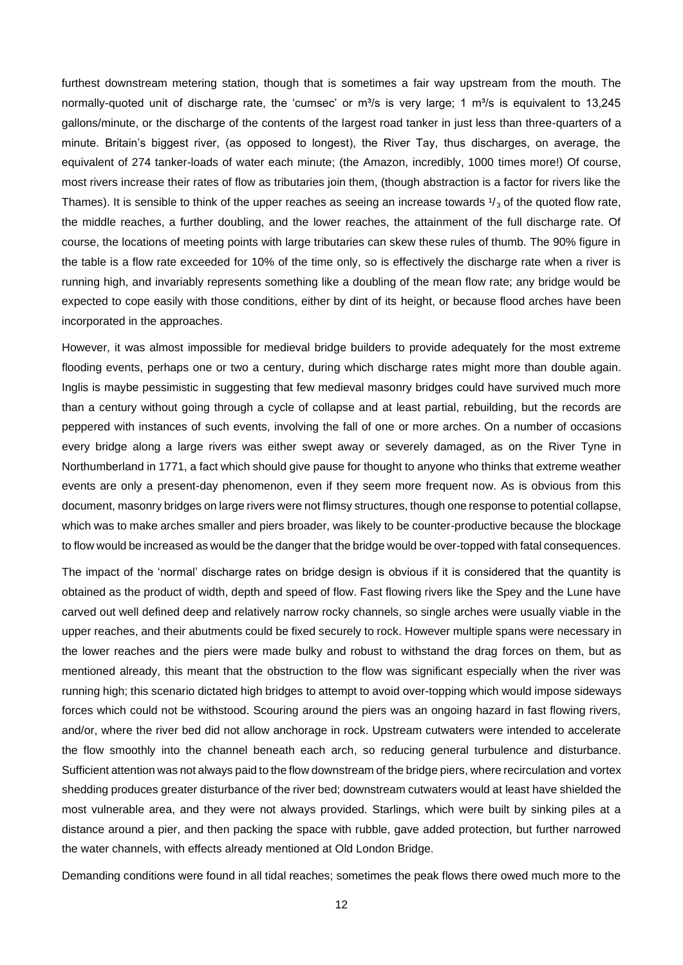furthest downstream metering station, though that is sometimes a fair way upstream from the mouth. The normally-quoted unit of discharge rate, the 'cumsec' or  $m^3/s$  is very large; 1  $m^3/s$  is equivalent to 13,245 gallons/minute, or the discharge of the contents of the largest road tanker in just less than three-quarters of a minute. Britain's biggest river, (as opposed to longest), the River Tay, thus discharges, on average, the equivalent of 274 tanker-loads of water each minute; (the Amazon, incredibly, 1000 times more!) Of course, most rivers increase their rates of flow as tributaries join them, (though abstraction is a factor for rivers like the Thames). It is sensible to think of the upper reaches as seeing an increase towards  $\frac{1}{3}$  of the quoted flow rate, the middle reaches, a further doubling, and the lower reaches, the attainment of the full discharge rate. Of course, the locations of meeting points with large tributaries can skew these rules of thumb. The 90% figure in the table is a flow rate exceeded for 10% of the time only, so is effectively the discharge rate when a river is running high, and invariably represents something like a doubling of the mean flow rate; any bridge would be expected to cope easily with those conditions, either by dint of its height, or because flood arches have been incorporated in the approaches.

However, it was almost impossible for medieval bridge builders to provide adequately for the most extreme flooding events, perhaps one or two a century, during which discharge rates might more than double again. Inglis is maybe pessimistic in suggesting that few medieval masonry bridges could have survived much more than a century without going through a cycle of collapse and at least partial, rebuilding, but the records are peppered with instances of such events, involving the fall of one or more arches. On a number of occasions every bridge along a large rivers was either swept away or severely damaged, as on the River Tyne in Northumberland in 1771, a fact which should give pause for thought to anyone who thinks that extreme weather events are only a present-day phenomenon, even if they seem more frequent now. As is obvious from this document, masonry bridges on large rivers were not flimsy structures, though one response to potential collapse, which was to make arches smaller and piers broader, was likely to be counter-productive because the blockage to flow would be increased as would be the danger that the bridge would be over-topped with fatal consequences.

The impact of the 'normal' discharge rates on bridge design is obvious if it is considered that the quantity is obtained as the product of width, depth and speed of flow. Fast flowing rivers like the Spey and the Lune have carved out well defined deep and relatively narrow rocky channels, so single arches were usually viable in the upper reaches, and their abutments could be fixed securely to rock. However multiple spans were necessary in the lower reaches and the piers were made bulky and robust to withstand the drag forces on them, but as mentioned already, this meant that the obstruction to the flow was significant especially when the river was running high; this scenario dictated high bridges to attempt to avoid over-topping which would impose sideways forces which could not be withstood. Scouring around the piers was an ongoing hazard in fast flowing rivers, and/or, where the river bed did not allow anchorage in rock. Upstream cutwaters were intended to accelerate the flow smoothly into the channel beneath each arch, so reducing general turbulence and disturbance. Sufficient attention was not always paid to the flow downstream of the bridge piers, where recirculation and vortex shedding produces greater disturbance of the river bed; downstream cutwaters would at least have shielded the most vulnerable area, and they were not always provided. Starlings, which were built by sinking piles at a distance around a pier, and then packing the space with rubble, gave added protection, but further narrowed the water channels, with effects already mentioned at Old London Bridge.

Demanding conditions were found in all tidal reaches; sometimes the peak flows there owed much more to the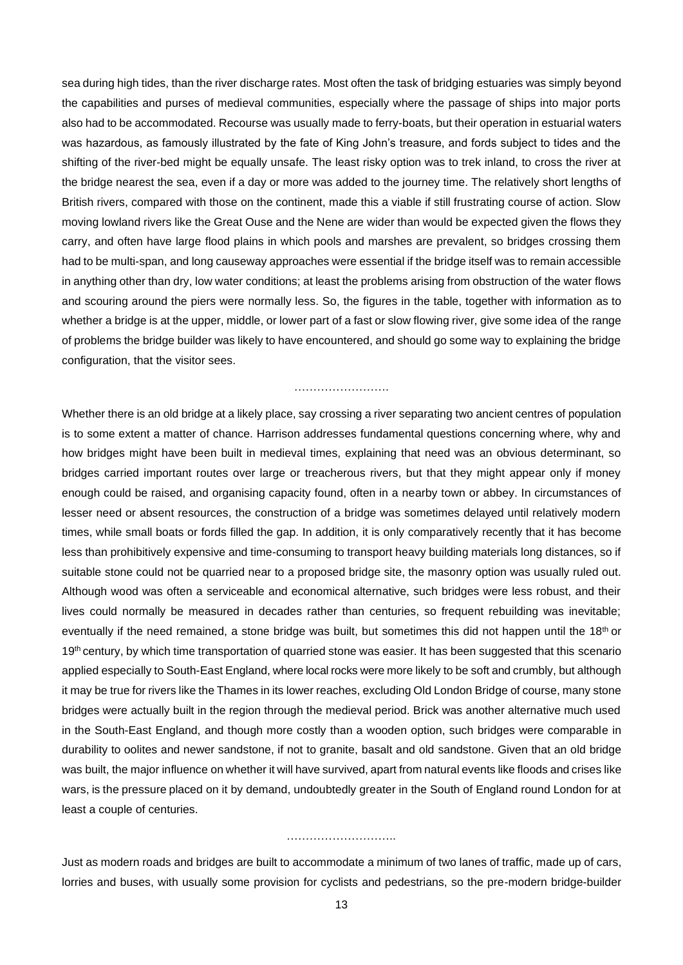sea during high tides, than the river discharge rates. Most often the task of bridging estuaries was simply beyond the capabilities and purses of medieval communities, especially where the passage of ships into major ports also had to be accommodated. Recourse was usually made to ferry-boats, but their operation in estuarial waters was hazardous, as famously illustrated by the fate of King John's treasure, and fords subject to tides and the shifting of the river-bed might be equally unsafe. The least risky option was to trek inland, to cross the river at the bridge nearest the sea, even if a day or more was added to the journey time. The relatively short lengths of British rivers, compared with those on the continent, made this a viable if still frustrating course of action. Slow moving lowland rivers like the Great Ouse and the Nene are wider than would be expected given the flows they carry, and often have large flood plains in which pools and marshes are prevalent, so bridges crossing them had to be multi-span, and long causeway approaches were essential if the bridge itself was to remain accessible in anything other than dry, low water conditions; at least the problems arising from obstruction of the water flows and scouring around the piers were normally less. So, the figures in the table, together with information as to whether a bridge is at the upper, middle, or lower part of a fast or slow flowing river, give some idea of the range of problems the bridge builder was likely to have encountered, and should go some way to explaining the bridge configuration, that the visitor sees.

……………………………

Whether there is an old bridge at a likely place, say crossing a river separating two ancient centres of population is to some extent a matter of chance. Harrison addresses fundamental questions concerning where, why and how bridges might have been built in medieval times, explaining that need was an obvious determinant, so bridges carried important routes over large or treacherous rivers, but that they might appear only if money enough could be raised, and organising capacity found, often in a nearby town or abbey. In circumstances of lesser need or absent resources, the construction of a bridge was sometimes delayed until relatively modern times, while small boats or fords filled the gap. In addition, it is only comparatively recently that it has become less than prohibitively expensive and time-consuming to transport heavy building materials long distances, so if suitable stone could not be quarried near to a proposed bridge site, the masonry option was usually ruled out. Although wood was often a serviceable and economical alternative, such bridges were less robust, and their lives could normally be measured in decades rather than centuries, so frequent rebuilding was inevitable; eventually if the need remained, a stone bridge was built, but sometimes this did not happen until the 18<sup>th</sup> or 19<sup>th</sup> century, by which time transportation of quarried stone was easier. It has been suggested that this scenario applied especially to South-East England, where local rocks were more likely to be soft and crumbly, but although it may be true for rivers like the Thames in its lower reaches, excluding Old London Bridge of course, many stone bridges were actually built in the region through the medieval period. Brick was another alternative much used in the South-East England, and though more costly than a wooden option, such bridges were comparable in durability to oolites and newer sandstone, if not to granite, basalt and old sandstone. Given that an old bridge was built, the major influence on whether it will have survived, apart from natural events like floods and crises like wars, is the pressure placed on it by demand, undoubtedly greater in the South of England round London for at least a couple of centuries.

#### ……………………………………

Just as modern roads and bridges are built to accommodate a minimum of two lanes of traffic, made up of cars, lorries and buses, with usually some provision for cyclists and pedestrians, so the pre-modern bridge-builder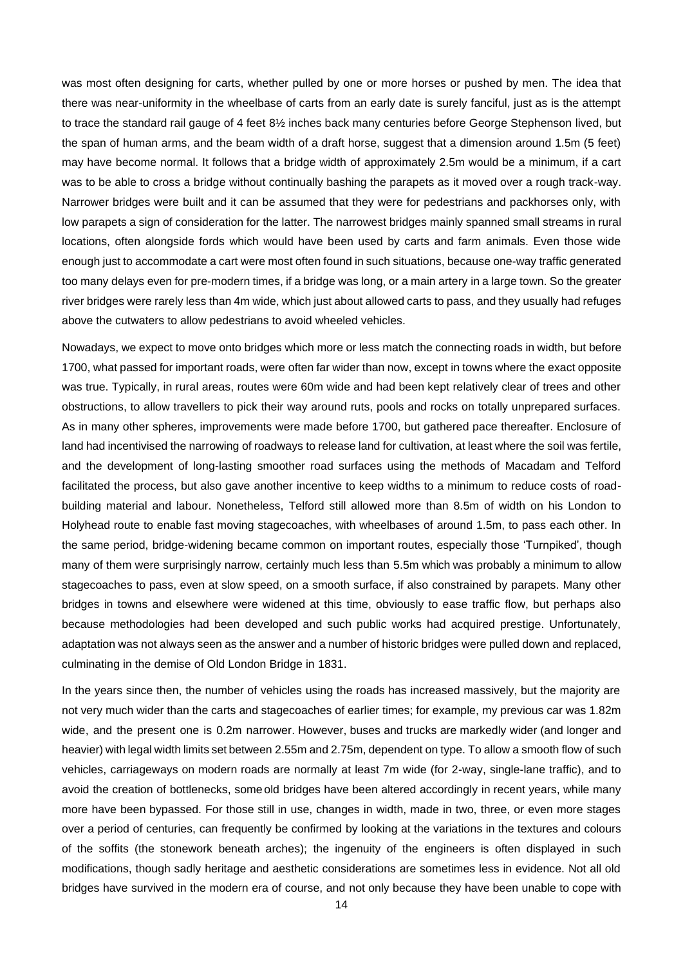was most often designing for carts, whether pulled by one or more horses or pushed by men. The idea that there was near-uniformity in the wheelbase of carts from an early date is surely fanciful, just as is the attempt to trace the standard rail gauge of 4 feet 8½ inches back many centuries before George Stephenson lived, but the span of human arms, and the beam width of a draft horse, suggest that a dimension around 1.5m (5 feet) may have become normal. It follows that a bridge width of approximately 2.5m would be a minimum, if a cart was to be able to cross a bridge without continually bashing the parapets as it moved over a rough track-way. Narrower bridges were built and it can be assumed that they were for pedestrians and packhorses only, with low parapets a sign of consideration for the latter. The narrowest bridges mainly spanned small streams in rural locations, often alongside fords which would have been used by carts and farm animals. Even those wide enough just to accommodate a cart were most often found in such situations, because one-way traffic generated too many delays even for pre-modern times, if a bridge was long, or a main artery in a large town. So the greater river bridges were rarely less than 4m wide, which just about allowed carts to pass, and they usually had refuges above the cutwaters to allow pedestrians to avoid wheeled vehicles.

Nowadays, we expect to move onto bridges which more or less match the connecting roads in width, but before 1700, what passed for important roads, were often far wider than now, except in towns where the exact opposite was true. Typically, in rural areas, routes were 60m wide and had been kept relatively clear of trees and other obstructions, to allow travellers to pick their way around ruts, pools and rocks on totally unprepared surfaces. As in many other spheres, improvements were made before 1700, but gathered pace thereafter. Enclosure of land had incentivised the narrowing of roadways to release land for cultivation, at least where the soil was fertile, and the development of long-lasting smoother road surfaces using the methods of Macadam and Telford facilitated the process, but also gave another incentive to keep widths to a minimum to reduce costs of roadbuilding material and labour. Nonetheless, Telford still allowed more than 8.5m of width on his London to Holyhead route to enable fast moving stagecoaches, with wheelbases of around 1.5m, to pass each other. In the same period, bridge-widening became common on important routes, especially those 'Turnpiked', though many of them were surprisingly narrow, certainly much less than 5.5m which was probably a minimum to allow stagecoaches to pass, even at slow speed, on a smooth surface, if also constrained by parapets. Many other bridges in towns and elsewhere were widened at this time, obviously to ease traffic flow, but perhaps also because methodologies had been developed and such public works had acquired prestige. Unfortunately, adaptation was not always seen as the answer and a number of historic bridges were pulled down and replaced, culminating in the demise of Old London Bridge in 1831.

In the years since then, the number of vehicles using the roads has increased massively, but the majority are not very much wider than the carts and stagecoaches of earlier times; for example, my previous car was 1.82m wide, and the present one is 0.2m narrower. However, buses and trucks are markedly wider (and longer and heavier) with legal width limits set between 2.55m and 2.75m, dependent on type. To allow a smooth flow of such vehicles, carriageways on modern roads are normally at least 7m wide (for 2-way, single-lane traffic), and to avoid the creation of bottlenecks, some old bridges have been altered accordingly in recent years, while many more have been bypassed. For those still in use, changes in width, made in two, three, or even more stages over a period of centuries, can frequently be confirmed by looking at the variations in the textures and colours of the soffits (the stonework beneath arches); the ingenuity of the engineers is often displayed in such modifications, though sadly heritage and aesthetic considerations are sometimes less in evidence. Not all old bridges have survived in the modern era of course, and not only because they have been unable to cope with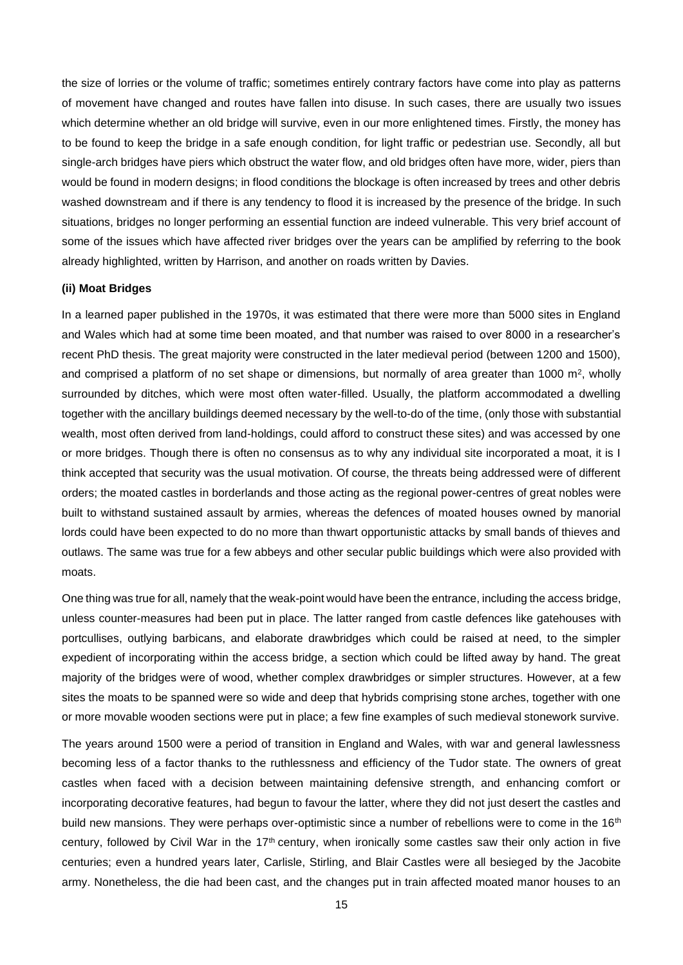the size of lorries or the volume of traffic; sometimes entirely contrary factors have come into play as patterns of movement have changed and routes have fallen into disuse. In such cases, there are usually two issues which determine whether an old bridge will survive, even in our more enlightened times. Firstly, the money has to be found to keep the bridge in a safe enough condition, for light traffic or pedestrian use. Secondly, all but single-arch bridges have piers which obstruct the water flow, and old bridges often have more, wider, piers than would be found in modern designs; in flood conditions the blockage is often increased by trees and other debris washed downstream and if there is any tendency to flood it is increased by the presence of the bridge. In such situations, bridges no longer performing an essential function are indeed vulnerable. This very brief account of some of the issues which have affected river bridges over the years can be amplified by referring to the book already highlighted, written by Harrison, and another on roads written by Davies.

#### **(ii) Moat Bridges**

In a learned paper published in the 1970s, it was estimated that there were more than 5000 sites in England and Wales which had at some time been moated, and that number was raised to over 8000 in a researcher's recent PhD thesis. The great majority were constructed in the later medieval period (between 1200 and 1500), and comprised a platform of no set shape or dimensions, but normally of area greater than 1000  $\text{m}^2$ , wholly surrounded by ditches, which were most often water-filled. Usually, the platform accommodated a dwelling together with the ancillary buildings deemed necessary by the well-to-do of the time, (only those with substantial wealth, most often derived from land-holdings, could afford to construct these sites) and was accessed by one or more bridges. Though there is often no consensus as to why any individual site incorporated a moat, it is I think accepted that security was the usual motivation. Of course, the threats being addressed were of different orders; the moated castles in borderlands and those acting as the regional power-centres of great nobles were built to withstand sustained assault by armies, whereas the defences of moated houses owned by manorial lords could have been expected to do no more than thwart opportunistic attacks by small bands of thieves and outlaws. The same was true for a few abbeys and other secular public buildings which were also provided with moats.

One thing was true for all, namely that the weak-point would have been the entrance, including the access bridge, unless counter-measures had been put in place. The latter ranged from castle defences like gatehouses with portcullises, outlying barbicans, and elaborate drawbridges which could be raised at need, to the simpler expedient of incorporating within the access bridge, a section which could be lifted away by hand. The great majority of the bridges were of wood, whether complex drawbridges or simpler structures. However, at a few sites the moats to be spanned were so wide and deep that hybrids comprising stone arches, together with one or more movable wooden sections were put in place; a few fine examples of such medieval stonework survive.

The years around 1500 were a period of transition in England and Wales, with war and general lawlessness becoming less of a factor thanks to the ruthlessness and efficiency of the Tudor state. The owners of great castles when faced with a decision between maintaining defensive strength, and enhancing comfort or incorporating decorative features, had begun to favour the latter, where they did not just desert the castles and build new mansions. They were perhaps over-optimistic since a number of rebellions were to come in the 16<sup>th</sup> century, followed by Civil War in the  $17<sup>th</sup>$  century, when ironically some castles saw their only action in five centuries; even a hundred years later, Carlisle, Stirling, and Blair Castles were all besieged by the Jacobite army. Nonetheless, the die had been cast, and the changes put in train affected moated manor houses to an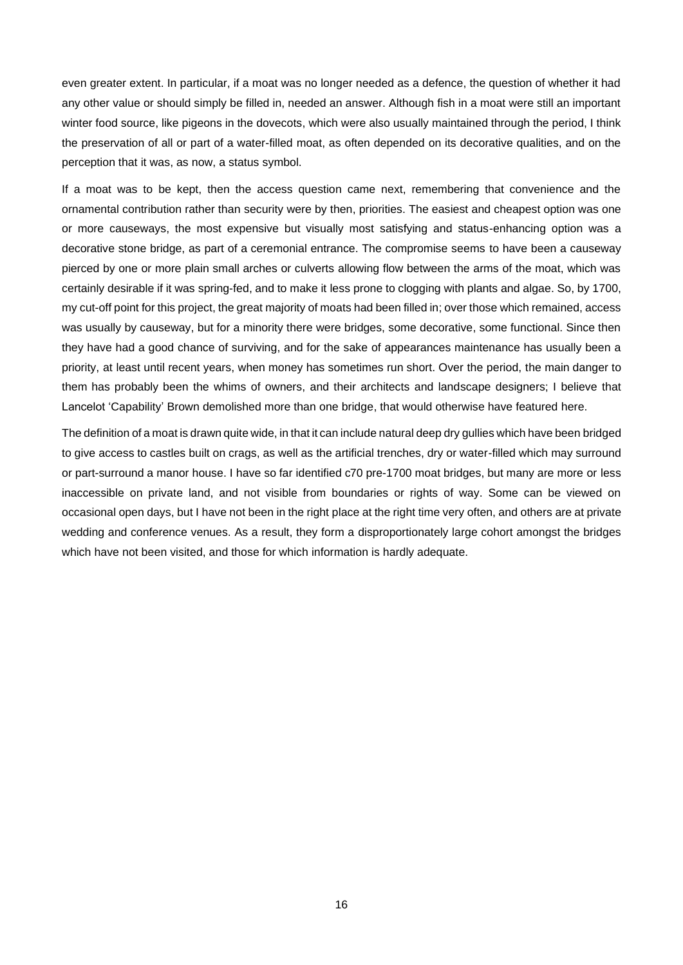even greater extent. In particular, if a moat was no longer needed as a defence, the question of whether it had any other value or should simply be filled in, needed an answer. Although fish in a moat were still an important winter food source, like pigeons in the dovecots, which were also usually maintained through the period, I think the preservation of all or part of a water-filled moat, as often depended on its decorative qualities, and on the perception that it was, as now, a status symbol.

If a moat was to be kept, then the access question came next, remembering that convenience and the ornamental contribution rather than security were by then, priorities. The easiest and cheapest option was one or more causeways, the most expensive but visually most satisfying and status-enhancing option was a decorative stone bridge, as part of a ceremonial entrance. The compromise seems to have been a causeway pierced by one or more plain small arches or culverts allowing flow between the arms of the moat, which was certainly desirable if it was spring-fed, and to make it less prone to clogging with plants and algae. So, by 1700, my cut-off point for this project, the great majority of moats had been filled in; over those which remained, access was usually by causeway, but for a minority there were bridges, some decorative, some functional. Since then they have had a good chance of surviving, and for the sake of appearances maintenance has usually been a priority, at least until recent years, when money has sometimes run short. Over the period, the main danger to them has probably been the whims of owners, and their architects and landscape designers; I believe that Lancelot 'Capability' Brown demolished more than one bridge, that would otherwise have featured here.

The definition of a moat is drawn quite wide, in that it can include natural deep dry gullies which have been bridged to give access to castles built on crags, as well as the artificial trenches, dry or water-filled which may surround or part-surround a manor house. I have so far identified c70 pre-1700 moat bridges, but many are more or less inaccessible on private land, and not visible from boundaries or rights of way. Some can be viewed on occasional open days, but I have not been in the right place at the right time very often, and others are at private wedding and conference venues. As a result, they form a disproportionately large cohort amongst the bridges which have not been visited, and those for which information is hardly adequate.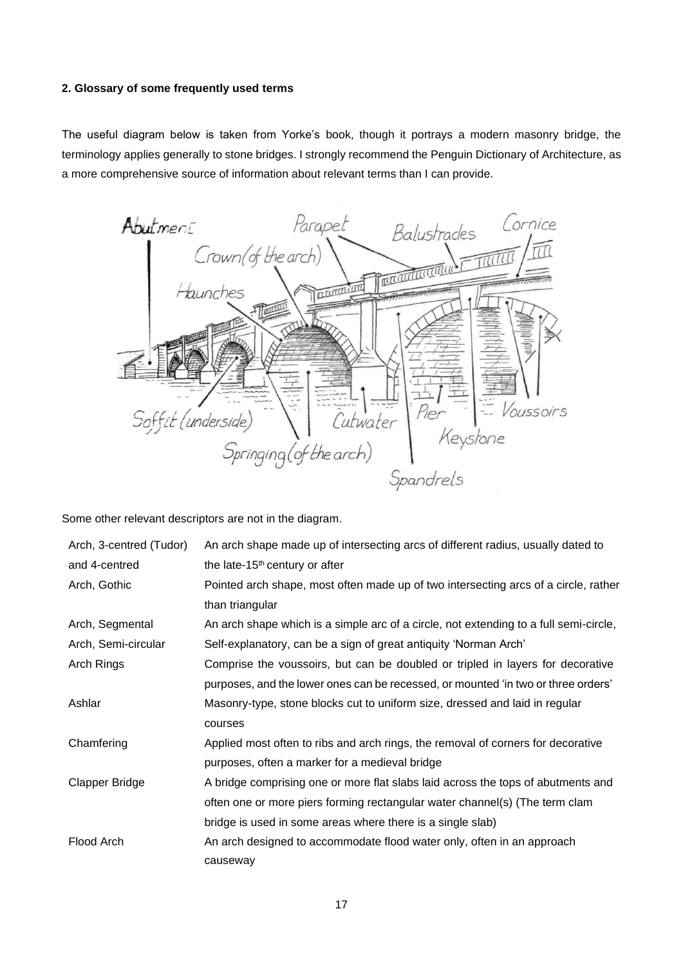### **2. Glossary of some frequently used terms**

The useful diagram below is taken from Yorke's book, though it portrays a modern masonry bridge, the terminology applies generally to stone bridges. I strongly recommend the Penguin Dictionary of Architecture, as a more comprehensive source of information about relevant terms than I can provide.



Some other relevant descriptors are not in the diagram.

| Arch, 3-centred (Tudor) | An arch shape made up of intersecting arcs of different radius, usually dated to      |
|-------------------------|---------------------------------------------------------------------------------------|
| and 4-centred           | the late-15 <sup>th</sup> century or after                                            |
| Arch, Gothic            | Pointed arch shape, most often made up of two intersecting arcs of a circle, rather   |
|                         | than triangular                                                                       |
| Arch, Segmental         | An arch shape which is a simple arc of a circle, not extending to a full semi-circle, |
| Arch, Semi-circular     | Self-explanatory, can be a sign of great antiquity 'Norman Arch'                      |
| Arch Rings              | Comprise the voussoirs, but can be doubled or tripled in layers for decorative        |
|                         | purposes, and the lower ones can be recessed, or mounted 'in two or three orders'     |
| Ashlar                  | Masonry-type, stone blocks cut to uniform size, dressed and laid in regular           |
|                         | courses                                                                               |
| Chamfering              | Applied most often to ribs and arch rings, the removal of corners for decorative      |
|                         | purposes, often a marker for a medieval bridge                                        |
| <b>Clapper Bridge</b>   | A bridge comprising one or more flat slabs laid across the tops of abutments and      |
|                         | often one or more piers forming rectangular water channel(s) (The term clam           |
|                         | bridge is used in some areas where there is a single slab)                            |
| Flood Arch              | An arch designed to accommodate flood water only, often in an approach                |
|                         | causeway                                                                              |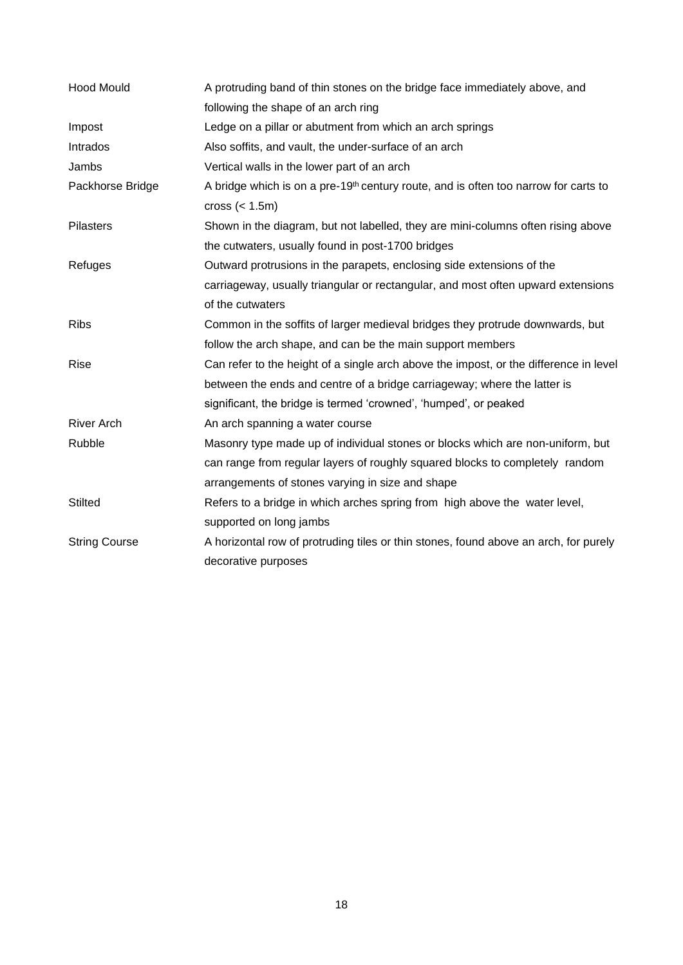| <b>Hood Mould</b>    | A protruding band of thin stones on the bridge face immediately above, and                      |  |  |  |  |
|----------------------|-------------------------------------------------------------------------------------------------|--|--|--|--|
|                      | following the shape of an arch ring                                                             |  |  |  |  |
| Impost               | Ledge on a pillar or abutment from which an arch springs                                        |  |  |  |  |
| Intrados             | Also soffits, and vault, the under-surface of an arch                                           |  |  |  |  |
| Jambs                | Vertical walls in the lower part of an arch                                                     |  |  |  |  |
| Packhorse Bridge     | A bridge which is on a pre-19 <sup>th</sup> century route, and is often too narrow for carts to |  |  |  |  |
|                      | cross $(1.5m)$                                                                                  |  |  |  |  |
| Pilasters            | Shown in the diagram, but not labelled, they are mini-columns often rising above                |  |  |  |  |
|                      | the cutwaters, usually found in post-1700 bridges                                               |  |  |  |  |
| Refuges              | Outward protrusions in the parapets, enclosing side extensions of the                           |  |  |  |  |
|                      | carriageway, usually triangular or rectangular, and most often upward extensions                |  |  |  |  |
|                      | of the cutwaters                                                                                |  |  |  |  |
| <b>Ribs</b>          | Common in the soffits of larger medieval bridges they protrude downwards, but                   |  |  |  |  |
|                      | follow the arch shape, and can be the main support members                                      |  |  |  |  |
| Rise                 | Can refer to the height of a single arch above the impost, or the difference in level           |  |  |  |  |
|                      | between the ends and centre of a bridge carriageway; where the latter is                        |  |  |  |  |
|                      | significant, the bridge is termed 'crowned', 'humped', or peaked                                |  |  |  |  |
| <b>River Arch</b>    | An arch spanning a water course                                                                 |  |  |  |  |
| Rubble               | Masonry type made up of individual stones or blocks which are non-uniform, but                  |  |  |  |  |
|                      | can range from regular layers of roughly squared blocks to completely random                    |  |  |  |  |
|                      | arrangements of stones varying in size and shape                                                |  |  |  |  |
| <b>Stilted</b>       | Refers to a bridge in which arches spring from high above the water level,                      |  |  |  |  |
|                      | supported on long jambs                                                                         |  |  |  |  |
| <b>String Course</b> | A horizontal row of protruding tiles or thin stones, found above an arch, for purely            |  |  |  |  |
|                      | decorative purposes                                                                             |  |  |  |  |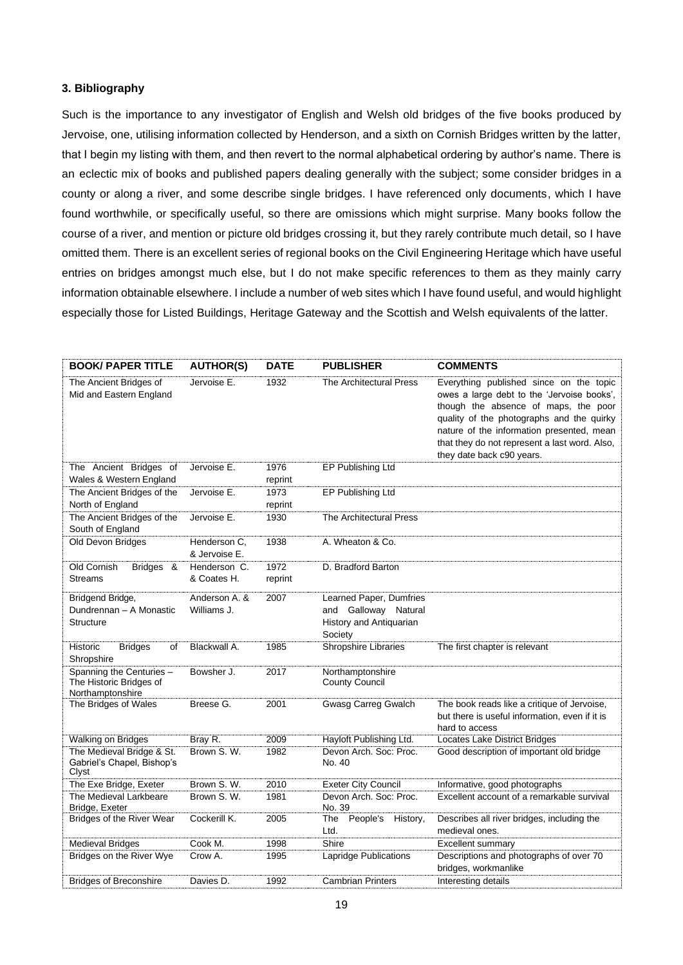#### **3. Bibliography**

Such is the importance to any investigator of English and Welsh old bridges of the five books produced by Jervoise, one, utilising information collected by Henderson, and a sixth on Cornish Bridges written by the latter, that I begin my listing with them, and then revert to the normal alphabetical ordering by author's name. There is an eclectic mix of books and published papers dealing generally with the subject; some consider bridges in a county or along a river, and some describe single bridges. I have referenced only documents, which I have found worthwhile, or specifically useful, so there are omissions which might surprise. Many books follow the course of a river, and mention or picture old bridges crossing it, but they rarely contribute much detail, so I have omitted them. There is an excellent series of regional books on the Civil Engineering Heritage which have useful entries on bridges amongst much else, but I do not make specific references to them as they mainly carry information obtainable elsewhere. I include a number of web sites which I have found useful, and would highlight especially those for Listed Buildings, Heritage Gateway and the Scottish and Welsh equivalents of the latter.

| <b>BOOK/ PAPER TITLE</b>                                                | <b>AUTHOR(S)</b>              | <b>DATE</b>     | <b>PUBLISHER</b>                                                                      | <b>COMMENTS</b>                                                                                                                                                                                                                                                                                       |
|-------------------------------------------------------------------------|-------------------------------|-----------------|---------------------------------------------------------------------------------------|-------------------------------------------------------------------------------------------------------------------------------------------------------------------------------------------------------------------------------------------------------------------------------------------------------|
| The Ancient Bridges of<br>Mid and Eastern England                       | Jervoise E.                   | 1932            | The Architectural Press                                                               | Everything published since on the topic<br>owes a large debt to the 'Jervoise books',<br>though the absence of maps, the poor<br>quality of the photographs and the quirky<br>nature of the information presented, mean<br>that they do not represent a last word. Also,<br>they date back c90 years. |
| The Ancient Bridges of<br>Wales & Western England                       | Jervoise E.                   | 1976<br>reprint | EP Publishing Ltd                                                                     |                                                                                                                                                                                                                                                                                                       |
| The Ancient Bridges of the<br>North of England                          | Jervoise E.                   | 1973<br>reprint | EP Publishing Ltd                                                                     |                                                                                                                                                                                                                                                                                                       |
| The Ancient Bridges of the<br>South of England                          | Jervoise E.                   | 1930            | The Architectural Press                                                               |                                                                                                                                                                                                                                                                                                       |
| Old Devon Bridges                                                       | Henderson C,<br>& Jervoise E. | 1938            | A. Wheaton & Co.                                                                      |                                                                                                                                                                                                                                                                                                       |
| Old Cornish<br>Bridges &<br><b>Streams</b>                              | Henderson C.<br>& Coates H.   | 1972<br>reprint | D. Bradford Barton                                                                    |                                                                                                                                                                                                                                                                                                       |
| Bridgend Bridge,<br>Dundrennan - A Monastic<br><b>Structure</b>         | Anderson A. &<br>Williams J.  | 2007            | Learned Paper, Dumfries<br>and Galloway Natural<br>History and Antiquarian<br>Society |                                                                                                                                                                                                                                                                                                       |
| <b>Bridges</b><br>of<br>Historic<br>Shropshire                          | Blackwall A.                  | 1985            | Shropshire Libraries                                                                  | The first chapter is relevant                                                                                                                                                                                                                                                                         |
| Spanning the Centuries -<br>The Historic Bridges of<br>Northamptonshire | Bowsher J.                    | 2017            | Northamptonshire<br><b>County Council</b>                                             |                                                                                                                                                                                                                                                                                                       |
| The Bridges of Wales                                                    | Breese G.                     | 2001            | Gwasg Carreg Gwalch                                                                   | The book reads like a critique of Jervoise,<br>but there is useful information, even if it is<br>hard to access                                                                                                                                                                                       |
| <b>Walking on Bridges</b>                                               | Bray R.                       | 2009            | Hayloft Publishing Ltd.                                                               | <b>Locates Lake District Bridges</b>                                                                                                                                                                                                                                                                  |
| The Medieval Bridge & St.<br>Gabriel's Chapel, Bishop's<br>Clyst        | Brown S. W.                   | 1982            | Devon Arch. Soc: Proc.<br>No. 40                                                      | Good description of important old bridge                                                                                                                                                                                                                                                              |
| The Exe Bridge, Exeter                                                  | Brown S. W.                   | 2010            | <b>Exeter City Council</b>                                                            | Informative, good photographs                                                                                                                                                                                                                                                                         |
| The Medieval Larkbeare<br>Bridge, Exeter                                | Brown S.W.                    | 1981            | Devon Arch. Soc: Proc.<br>No. 39                                                      | Excellent account of a remarkable survival                                                                                                                                                                                                                                                            |
| Bridges of the River Wear                                               | Cockerill K.                  | 2005            | The People's<br>History,<br>Ltd.                                                      | Describes all river bridges, including the<br>medieval ones.                                                                                                                                                                                                                                          |
| <b>Medieval Bridges</b>                                                 | Cook M.                       | 1998            | Shire                                                                                 | Excellent summary                                                                                                                                                                                                                                                                                     |
| Bridges on the River Wye                                                | Crow A.                       | 1995            | Lapridge Publications                                                                 | Descriptions and photographs of over 70<br>bridges, workmanlike                                                                                                                                                                                                                                       |
| <b>Bridges of Breconshire</b>                                           | Davies D.                     | 1992            | <b>Cambrian Printers</b>                                                              | Interesting details                                                                                                                                                                                                                                                                                   |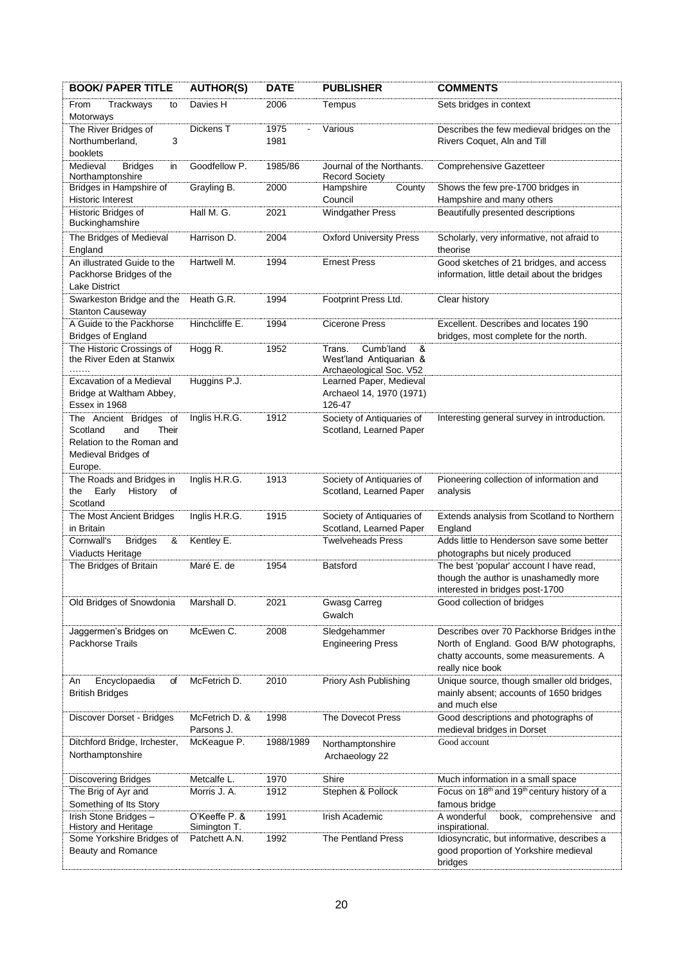| <b>BOOK/ PAPER TITLE</b>                                                                                          | <b>AUTHOR(S)</b>              | <b>DATE</b>  | <b>PUBLISHER</b>                                                               | <b>COMMENTS</b>                                                                                                                                    |
|-------------------------------------------------------------------------------------------------------------------|-------------------------------|--------------|--------------------------------------------------------------------------------|----------------------------------------------------------------------------------------------------------------------------------------------------|
| Trackways<br>From<br>to<br>Motorways                                                                              | Davies H                      | 2006         | Tempus                                                                         | Sets bridges in context                                                                                                                            |
| The River Bridges of<br>Northumberland,<br>3<br>booklets                                                          | Dickens T                     | 1975<br>1981 | Various                                                                        | Describes the few medieval bridges on the<br>Rivers Coquet, Aln and Till                                                                           |
| Medieval<br><b>Bridges</b><br>in<br>Northamptonshire                                                              | Goodfellow P.                 | 1985/86      | Journal of the Northants.<br><b>Record Society</b>                             | <b>Comprehensive Gazetteer</b>                                                                                                                     |
| Bridges in Hampshire of<br><b>Historic Interest</b>                                                               | Grayling B.                   | 2000         | Hampshire<br>County<br>Council                                                 | Shows the few pre-1700 bridges in<br>Hampshire and many others                                                                                     |
| Historic Bridges of<br>Buckinghamshire                                                                            | Hall M. G.                    | 2021         | <b>Windgather Press</b>                                                        | Beautifully presented descriptions                                                                                                                 |
| The Bridges of Medieval<br>England                                                                                | Harrison D.                   | 2004         | <b>Oxford University Press</b>                                                 | Scholarly, very informative, not afraid to<br>theorise                                                                                             |
| An illustrated Guide to the<br>Packhorse Bridges of the<br><b>Lake District</b>                                   | Hartwell M.                   | 1994         | <b>Ernest Press</b>                                                            | Good sketches of 21 bridges, and access<br>information, little detail about the bridges                                                            |
| Swarkeston Bridge and the<br><b>Stanton Causeway</b>                                                              | Heath G.R.                    | 1994         | Footprint Press Ltd.                                                           | Clear history                                                                                                                                      |
| A Guide to the Packhorse<br><b>Bridges of England</b>                                                             | Hinchcliffe E.                | 1994         | <b>Cicerone Press</b>                                                          | Excellent. Describes and locates 190<br>bridges, most complete for the north.                                                                      |
| The Historic Crossings of<br>the River Eden at Stanwix<br>.                                                       | Hogg R.                       | 1952         | &<br>Cumb'land<br>Trans.<br>West'land Antiquarian &<br>Archaeological Soc. V52 |                                                                                                                                                    |
| Excavation of a Medieval<br>Bridge at Waltham Abbey,<br>Essex in 1968                                             | Huggins P.J.                  |              | Learned Paper, Medieval<br>Archaeol 14, 1970 (1971)<br>126-47                  |                                                                                                                                                    |
| The Ancient Bridges of<br>Scotland<br>and<br>Their<br>Relation to the Roman and<br>Medieval Bridges of<br>Europe. | Inglis H.R.G.                 | 1912         | Society of Antiquaries of<br>Scotland, Learned Paper                           | Interesting general survey in introduction.                                                                                                        |
| The Roads and Bridges in<br>Early<br>the<br>History<br>of<br>Scotland                                             | Inglis H.R.G.                 | 1913         | Society of Antiquaries of<br>Scotland, Learned Paper                           | Pioneering collection of information and<br>analysis                                                                                               |
| The Most Ancient Bridges<br>in Britain                                                                            | Inglis H.R.G.                 | 1915         | Society of Antiquaries of<br>Scotland, Learned Paper                           | Extends analysis from Scotland to Northern<br>England                                                                                              |
| Cornwall's<br><b>Bridges</b><br>&<br>Viaducts Heritage                                                            | Kentley E.                    |              | <b>Twelveheads Press</b>                                                       | Adds little to Henderson save some better<br>photographs but nicely produced                                                                       |
| The Bridges of Britain                                                                                            | Maré E. de                    | 1954         | <b>Batsford</b>                                                                | The best 'popular' account I have read,<br>though the author is unashamedly more<br>interested in bridges post-1700                                |
| Old Bridges of Snowdonia                                                                                          | Marshall D.                   | 2021         | <b>Gwasg Carreg</b><br>Gwalch                                                  | Good collection of bridges                                                                                                                         |
| Jaggermen's Bridges on<br><b>Packhorse Trails</b>                                                                 | McEwen C.                     | 2008         | Sledgehammer<br><b>Engineering Press</b>                                       | Describes over 70 Packhorse Bridges in the<br>North of England. Good B/W photographs,<br>chatty accounts, some measurements. A<br>really nice book |
| Encyclopaedia<br>of<br>An<br><b>British Bridges</b>                                                               | McFetrich D.                  | 2010         | Priory Ash Publishing                                                          | Unique source, though smaller old bridges,<br>mainly absent; accounts of 1650 bridges<br>and much else                                             |
| Discover Dorset - Bridges                                                                                         | McFetrich D. &<br>Parsons J.  | 1998         | <b>The Dovecot Press</b>                                                       | Good descriptions and photographs of<br>medieval bridges in Dorset                                                                                 |
| Ditchford Bridge, Irchester,<br>Northamptonshire                                                                  | McKeague P.                   | 1988/1989    | Northamptonshire<br>Archaeology 22                                             | Good account                                                                                                                                       |
| <b>Discovering Bridges</b>                                                                                        | Metcalfe L.                   | 1970         | Shire                                                                          | Much information in a small space                                                                                                                  |
| The Brig of Ayr and<br>Something of Its Story                                                                     | Morris J. A.                  | 1912         | Stephen & Pollock                                                              | Focus on 18 <sup>th</sup> and 19 <sup>th</sup> century history of a<br>famous bridge                                                               |
| Irish Stone Bridges -<br>History and Heritage                                                                     | O'Keeffe P. &<br>Simington T. | 1991         | Irish Academic                                                                 | A wonderful<br>comprehensive and<br>book,<br>inspirational.                                                                                        |
| Some Yorkshire Bridges of<br>Beauty and Romance                                                                   | Patchett A.N.                 | 1992         | <b>The Pentland Press</b>                                                      | Idiosyncratic, but informative, describes a<br>good proportion of Yorkshire medieval<br>bridges                                                    |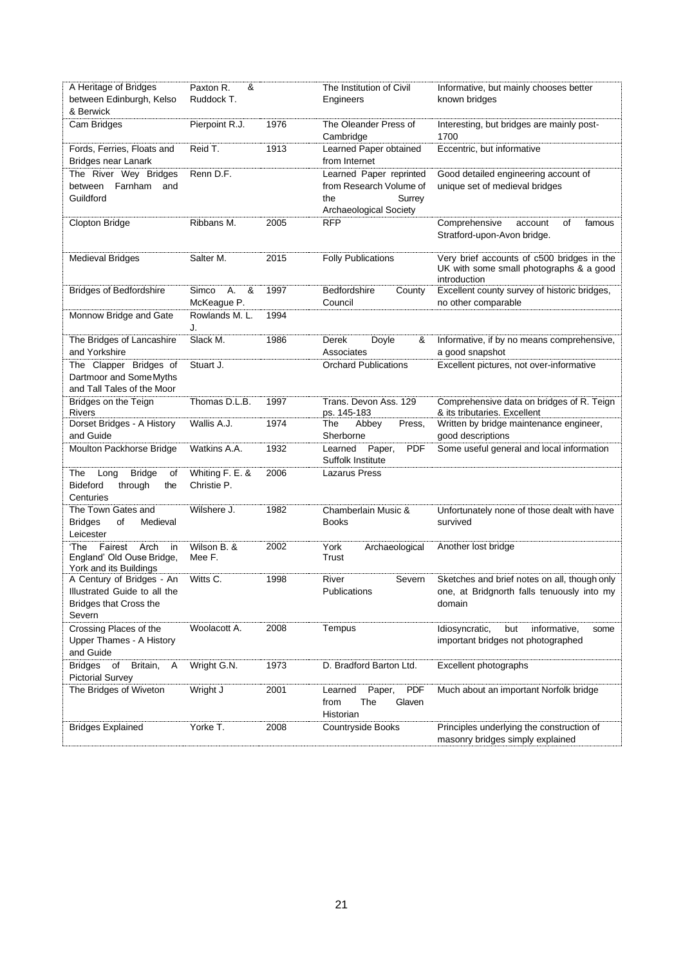| A Heritage of Bridges<br>between Edinburgh, Kelso<br>& Berwick                             | &<br>Paxton R.<br>Ruddock T.    |      | The Institution of Civil<br>Engineers                                 | Informative, but mainly chooses better<br>known bridges                                               |
|--------------------------------------------------------------------------------------------|---------------------------------|------|-----------------------------------------------------------------------|-------------------------------------------------------------------------------------------------------|
| Cam Bridges                                                                                | Pierpoint R.J.                  | 1976 | The Oleander Press of<br>Cambridge                                    | Interesting, but bridges are mainly post-<br>1700                                                     |
| Fords, Ferries, Floats and<br>Bridges near Lanark                                          | Reid T.                         | 1913 | Learned Paper obtained<br>from Internet                               | Eccentric, but informative                                                                            |
| The River Wey Bridges                                                                      | Renn D.F.                       |      | Learned Paper reprinted                                               | Good detailed engineering account of                                                                  |
| between Farnham<br>and<br>Guildford                                                        |                                 |      | from Research Volume of<br>the<br>Surrey                              | unique set of medieval bridges                                                                        |
|                                                                                            |                                 |      | Archaeological Society                                                |                                                                                                       |
| Clopton Bridge                                                                             | Ribbans M.                      | 2005 | <b>RFP</b>                                                            | Comprehensive<br>account<br>οf<br>famous<br>Stratford-upon-Avon bridge.                               |
| <b>Medieval Bridges</b>                                                                    | Salter M.                       | 2015 | <b>Folly Publications</b>                                             | Very brief accounts of c500 bridges in the<br>UK with some small photographs & a good<br>introduction |
| <b>Bridges of Bedfordshire</b>                                                             | Simco<br>А.<br>&<br>McKeague P. | 1997 | Bedfordshire<br>County<br>Council                                     | Excellent county survey of historic bridges,<br>no other comparable                                   |
| Monnow Bridge and Gate                                                                     | Rowlands M. L.<br>J.            | 1994 |                                                                       |                                                                                                       |
| The Bridges of Lancashire                                                                  | Slack M.                        | 1986 | Doyle<br>Derek<br>&                                                   | Informative, if by no means comprehensive,                                                            |
| and Yorkshire                                                                              | Stuart J.                       |      | Associates<br><b>Orchard Publications</b>                             | a good snapshot<br>Excellent pictures, not over-informative                                           |
| The Clapper Bridges of<br>Dartmoor and Some Myths<br>and Tall Tales of the Moor            |                                 |      |                                                                       |                                                                                                       |
| Bridges on the Teign<br>Rivers                                                             | Thomas D.L.B.                   | 1997 | Trans. Devon Ass. 129<br>ps. 145-183                                  | Comprehensive data on bridges of R. Teign<br>& its tributaries. Excellent                             |
| Dorset Bridges - A History<br>and Guide                                                    | Wallis A.J.                     | 1974 | The<br>Abbey<br>Press,<br>Sherborne                                   | Written by bridge maintenance engineer,<br>good descriptions                                          |
| Moulton Packhorse Bridge                                                                   | Watkins A.A.                    | 1932 | <b>PDF</b><br>Learned Paper,<br>Suffolk Institute                     | Some useful general and local information                                                             |
| The<br><b>Bridge</b><br>Long<br>οf                                                         | Whiting F. E. &                 | 2006 | Lazarus Press                                                         |                                                                                                       |
| <b>Bideford</b><br>through<br>the<br>Centuries                                             | Christie P.                     |      |                                                                       |                                                                                                       |
| The Town Gates and                                                                         | Wilshere J.                     | 1982 | Chamberlain Music &                                                   | Unfortunately none of those dealt with have                                                           |
| <b>Bridges</b><br>Medieval<br>of<br>Leicester                                              |                                 |      | <b>Books</b>                                                          | survived                                                                                              |
| ʻThe<br>Fairest<br>Arch<br>in<br>England' Old Ouse Bridge,<br>York and its Buildings       | Wilson B. &<br>Mee F.           | 2002 | York<br>Archaeological<br>Trust                                       | Another lost bridge                                                                                   |
| A Century of Bridges - An<br>Illustrated Guide to all the<br><b>Bridges that Cross the</b> | Witts C.                        | 1998 | River<br>Severn<br>Publications                                       | Sketches and brief notes on all, though only<br>one, at Bridgnorth falls tenuously into my<br>domain  |
| Severn                                                                                     |                                 |      |                                                                       |                                                                                                       |
| Crossing Places of the<br>Upper Thames - A History<br>and Guide                            | Woolacott A.                    | 2008 | Tempus                                                                | Idiosyncratic,<br>but<br>informative,<br>some<br>important bridges not photographed                   |
| <b>Bridges</b><br>Britain,<br>of<br>A<br><b>Pictorial Survey</b>                           | Wright G.N.                     | 1973 | D. Bradford Barton Ltd.                                               | Excellent photographs                                                                                 |
| The Bridges of Wiveton                                                                     | Wright J                        | 2001 | <b>PDF</b><br>Paper,<br>Learned<br>The<br>Glaven<br>from<br>Historian | Much about an important Norfolk bridge                                                                |
| <b>Bridges Explained</b>                                                                   | Yorke T.                        | 2008 | <b>Countryside Books</b>                                              | Principles underlying the construction of<br>masonry bridges simply explained                         |